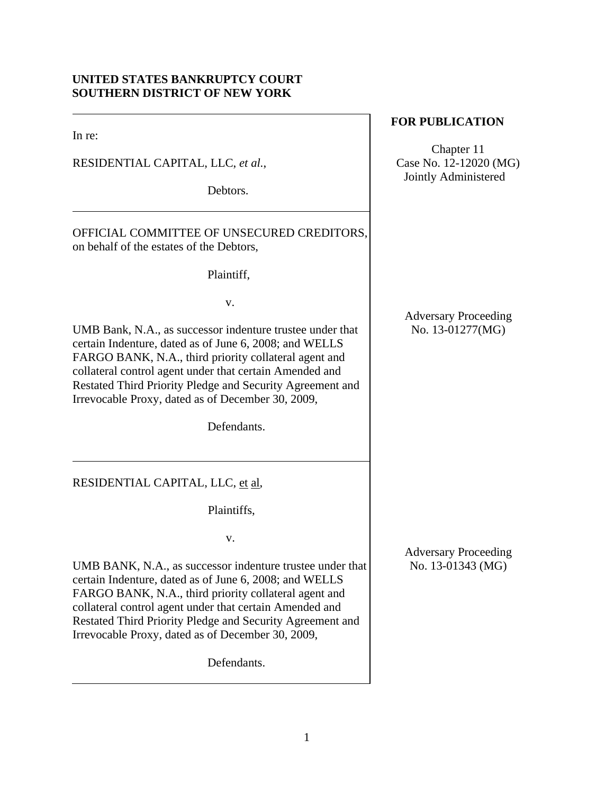# **UNITED STATES BANKRUPTCY COURT SOUTHERN DISTRICT OF NEW YORK**

In re:

RESIDENTIAL CAPITAL, LLC, *et al.*,

Debtors.

OFFICIAL COMMITTEE OF UNSECURED CREDITORS, on behalf of the estates of the Debtors,

Plaintiff,

v.

UMB Bank, N.A., as successor indenture trustee under that certain Indenture, dated as of June 6, 2008; and WELLS FARGO BANK, N.A., third priority collateral agent and collateral control agent under that certain Amended and Restated Third Priority Pledge and Security Agreement and Irrevocable Proxy, dated as of December 30, 2009,

Defendants.

RESIDENTIAL CAPITAL, LLC, et al,

Plaintiffs,

v.

UMB BANK, N.A., as successor indenture trustee under that certain Indenture, dated as of June 6, 2008; and WELLS FARGO BANK, N.A., third priority collateral agent and collateral control agent under that certain Amended and Restated Third Priority Pledge and Security Agreement and Irrevocable Proxy, dated as of December 30, 2009,

Defendants.

# **FOR PUBLICATION**

Chapter 11 Case No. 12-12020 (MG) Jointly Administered

Adversary Proceeding No. 13-01277(MG)

Adversary Proceeding No. 13-01343 (MG)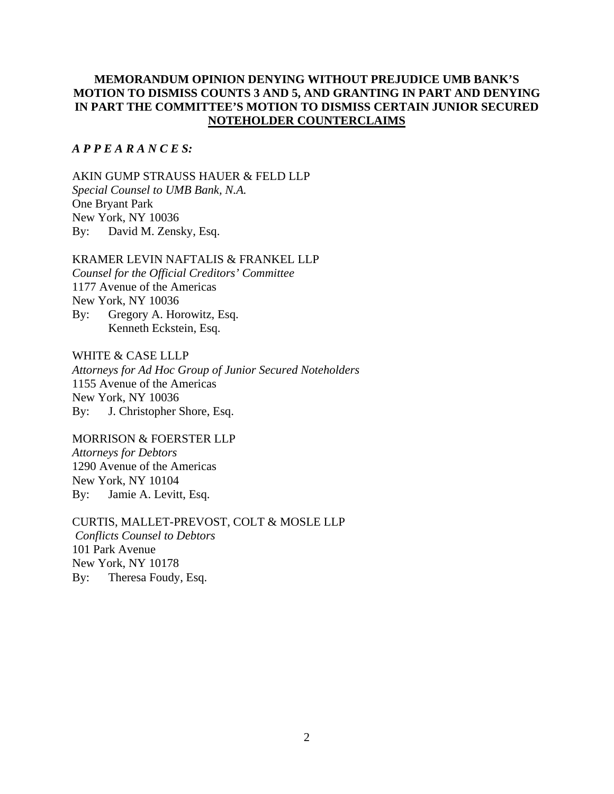# **MEMORANDUM OPINION DENYING WITHOUT PREJUDICE UMB BANK'S MOTION TO DISMISS COUNTS 3 AND 5, AND GRANTING IN PART AND DENYING IN PART THE COMMITTEE'S MOTION TO DISMISS CERTAIN JUNIOR SECURED NOTEHOLDER COUNTERCLAIMS**

### *A P P E A R A N C E S:*

AKIN GUMP STRAUSS HAUER & FELD LLP *Special Counsel to UMB Bank, N.A.*  One Bryant Park New York, NY 10036 By: David M. Zensky, Esq.

#### KRAMER LEVIN NAFTALIS & FRANKEL LLP

*Counsel for the Official Creditors' Committee*  1177 Avenue of the Americas New York, NY 10036 By: Gregory A. Horowitz, Esq. Kenneth Eckstein, Esq.

WHITE & CASE LLLP

*Attorneys for Ad Hoc Group of Junior Secured Noteholders* 1155 Avenue of the Americas New York, NY 10036 By: J. Christopher Shore, Esq.

MORRISON & FOERSTER LLP *Attorneys for Debtors* 

1290 Avenue of the Americas New York, NY 10104 By: Jamie A. Levitt, Esq.

CURTIS, MALLET-PREVOST, COLT & MOSLE LLP  *Conflicts Counsel to Debtors* 101 Park Avenue New York, NY 10178 By: Theresa Foudy, Esq.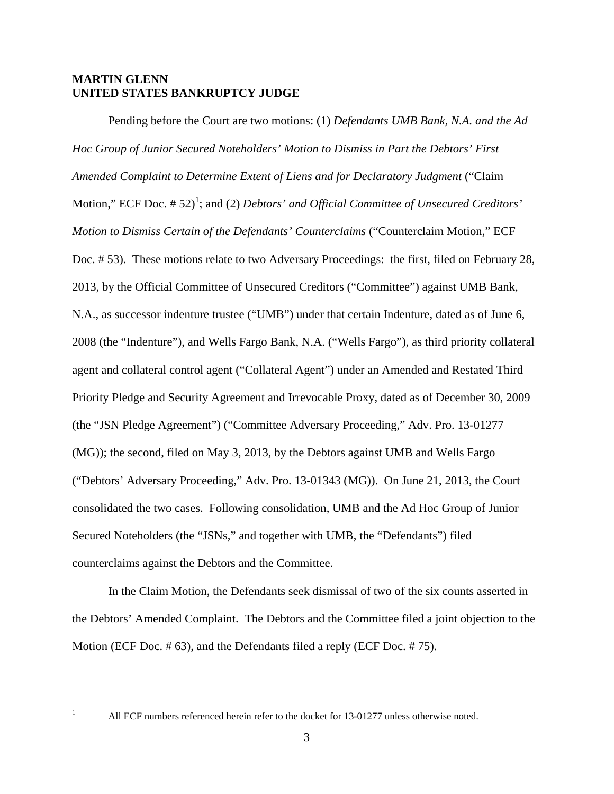### **MARTIN GLENN UNITED STATES BANKRUPTCY JUDGE**

Pending before the Court are two motions: (1) *Defendants UMB Bank, N.A. and the Ad Hoc Group of Junior Secured Noteholders' Motion to Dismiss in Part the Debtors' First Amended Complaint to Determine Extent of Liens and for Declaratory Judgment* ("Claim Motion," ECF Doc. # 52)<sup>1</sup>; and (2) *Debtors' and Official Committee of Unsecured Creditors' Motion to Dismiss Certain of the Defendants' Counterclaims* ("Counterclaim Motion," ECF Doc. # 53). These motions relate to two Adversary Proceedings: the first, filed on February 28, 2013, by the Official Committee of Unsecured Creditors ("Committee") against UMB Bank, N.A., as successor indenture trustee ("UMB") under that certain Indenture, dated as of June 6, 2008 (the "Indenture"), and Wells Fargo Bank, N.A. ("Wells Fargo"), as third priority collateral agent and collateral control agent ("Collateral Agent") under an Amended and Restated Third Priority Pledge and Security Agreement and Irrevocable Proxy, dated as of December 30, 2009 (the "JSN Pledge Agreement") ("Committee Adversary Proceeding," Adv. Pro. 13-01277 (MG)); the second, filed on May 3, 2013, by the Debtors against UMB and Wells Fargo ("Debtors' Adversary Proceeding," Adv. Pro. 13-01343 (MG)). On June 21, 2013, the Court consolidated the two cases. Following consolidation, UMB and the Ad Hoc Group of Junior Secured Noteholders (the "JSNs," and together with UMB, the "Defendants") filed counterclaims against the Debtors and the Committee.

In the Claim Motion, the Defendants seek dismissal of two of the six counts asserted in the Debtors' Amended Complaint. The Debtors and the Committee filed a joint objection to the Motion (ECF Doc. # 63), and the Defendants filed a reply (ECF Doc. # 75).

 $\frac{1}{1}$ 

All ECF numbers referenced herein refer to the docket for 13-01277 unless otherwise noted.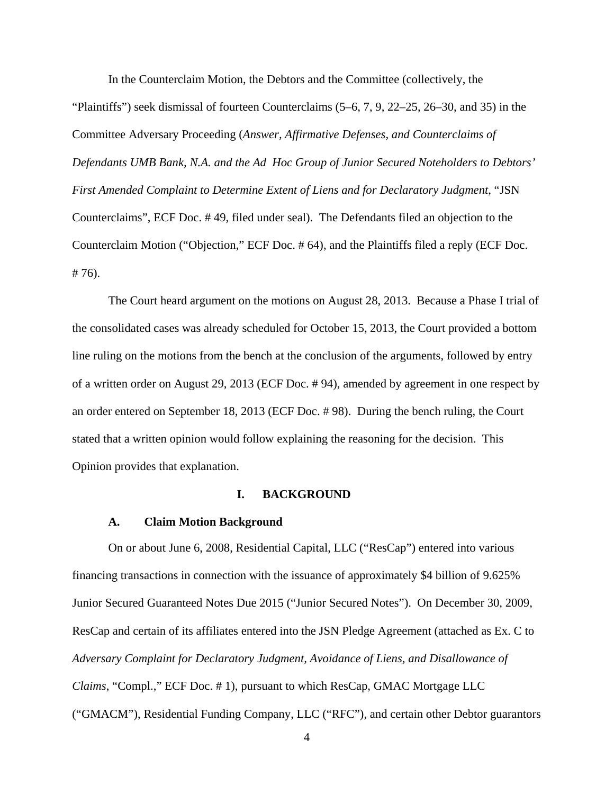In the Counterclaim Motion, the Debtors and the Committee (collectively, the "Plaintiffs") seek dismissal of fourteen Counterclaims (5–6, 7, 9, 22–25, 26–30, and 35) in the Committee Adversary Proceeding (*Answer, Affirmative Defenses, and Counterclaims of Defendants UMB Bank, N.A. and the Ad Hoc Group of Junior Secured Noteholders to Debtors' First Amended Complaint to Determine Extent of Liens and for Declaratory Judgment*, "JSN Counterclaims", ECF Doc. # 49, filed under seal). The Defendants filed an objection to the Counterclaim Motion ("Objection," ECF Doc. # 64), and the Plaintiffs filed a reply (ECF Doc. # 76).

The Court heard argument on the motions on August 28, 2013. Because a Phase I trial of the consolidated cases was already scheduled for October 15, 2013, the Court provided a bottom line ruling on the motions from the bench at the conclusion of the arguments, followed by entry of a written order on August 29, 2013 (ECF Doc. # 94), amended by agreement in one respect by an order entered on September 18, 2013 (ECF Doc. # 98). During the bench ruling, the Court stated that a written opinion would follow explaining the reasoning for the decision. This Opinion provides that explanation.

#### **I. BACKGROUND**

#### **A. Claim Motion Background**

On or about June 6, 2008, Residential Capital, LLC ("ResCap") entered into various financing transactions in connection with the issuance of approximately \$4 billion of 9.625% Junior Secured Guaranteed Notes Due 2015 ("Junior Secured Notes"). On December 30, 2009, ResCap and certain of its affiliates entered into the JSN Pledge Agreement (attached as Ex. C to *Adversary Complaint for Declaratory Judgment, Avoidance of Liens, and Disallowance of Claims*, "Compl.," ECF Doc. # 1), pursuant to which ResCap, GMAC Mortgage LLC ("GMACM"), Residential Funding Company, LLC ("RFC"), and certain other Debtor guarantors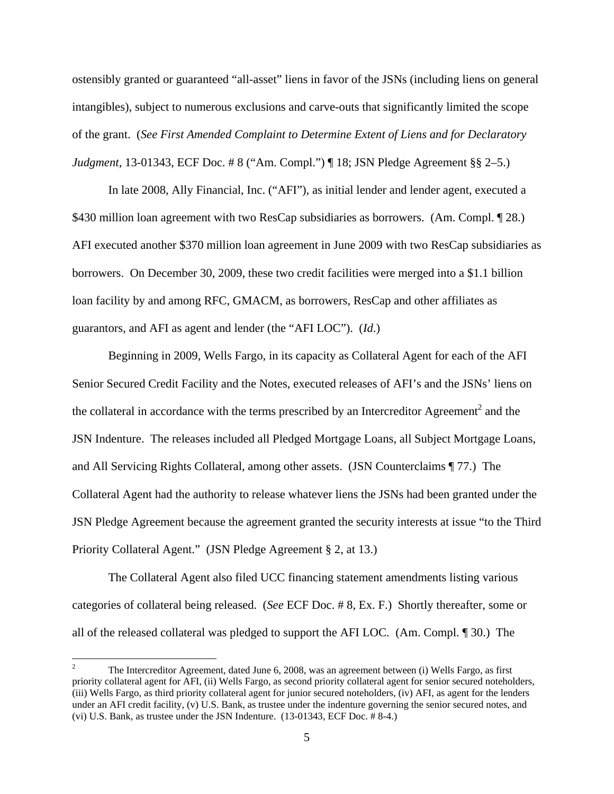ostensibly granted or guaranteed "all-asset" liens in favor of the JSNs (including liens on general intangibles), subject to numerous exclusions and carve-outs that significantly limited the scope of the grant. (*See First Amended Complaint to Determine Extent of Liens and for Declaratory Judgment*, 13-01343, ECF Doc. # 8 ("Am. Compl.") ¶ 18; JSN Pledge Agreement § § 2–5.)

In late 2008, Ally Financial, Inc. ("AFI"), as initial lender and lender agent, executed a \$430 million loan agreement with two ResCap subsidiaries as borrowers. (Am. Compl. 128.) AFI executed another \$370 million loan agreement in June 2009 with two ResCap subsidiaries as borrowers. On December 30, 2009, these two credit facilities were merged into a \$1.1 billion loan facility by and among RFC, GMACM, as borrowers, ResCap and other affiliates as guarantors, and AFI as agent and lender (the "AFI LOC"). (*Id*.)

Beginning in 2009, Wells Fargo, in its capacity as Collateral Agent for each of the AFI Senior Secured Credit Facility and the Notes, executed releases of AFI's and the JSNs' liens on the collateral in accordance with the terms prescribed by an Intercreditor Agreement<sup>2</sup> and the JSN Indenture. The releases included all Pledged Mortgage Loans, all Subject Mortgage Loans, and All Servicing Rights Collateral, among other assets. (JSN Counterclaims ¶ 77.) The Collateral Agent had the authority to release whatever liens the JSNs had been granted under the JSN Pledge Agreement because the agreement granted the security interests at issue "to the Third Priority Collateral Agent." (JSN Pledge Agreement § 2, at 13.)

The Collateral Agent also filed UCC financing statement amendments listing various categories of collateral being released. (*See* ECF Doc. # 8, Ex. F.) Shortly thereafter, some or all of the released collateral was pledged to support the AFI LOC. (Am. Compl. ¶ 30.) The

<sup>2</sup> The Intercreditor Agreement, dated June 6, 2008, was an agreement between (i) Wells Fargo, as first priority collateral agent for AFI, (ii) Wells Fargo, as second priority collateral agent for senior secured noteholders, (iii) Wells Fargo, as third priority collateral agent for junior secured noteholders, (iv) AFI, as agent for the lenders under an AFI credit facility, (v) U.S. Bank, as trustee under the indenture governing the senior secured notes, and (vi) U.S. Bank, as trustee under the JSN Indenture. (13-01343, ECF Doc. # 8-4.)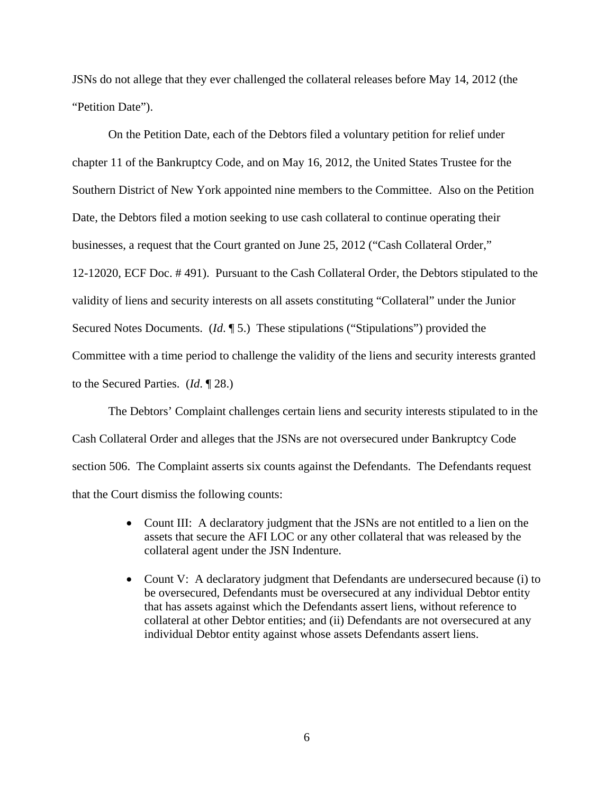JSNs do not allege that they ever challenged the collateral releases before May 14, 2012 (the "Petition Date").

On the Petition Date, each of the Debtors filed a voluntary petition for relief under chapter 11 of the Bankruptcy Code, and on May 16, 2012, the United States Trustee for the Southern District of New York appointed nine members to the Committee. Also on the Petition Date, the Debtors filed a motion seeking to use cash collateral to continue operating their businesses, a request that the Court granted on June 25, 2012 ("Cash Collateral Order," 12-12020, ECF Doc. # 491). Pursuant to the Cash Collateral Order, the Debtors stipulated to the validity of liens and security interests on all assets constituting "Collateral" under the Junior Secured Notes Documents. (*Id*. ¶ 5.) These stipulations ("Stipulations") provided the Committee with a time period to challenge the validity of the liens and security interests granted to the Secured Parties. (*Id*. ¶ 28.)

The Debtors' Complaint challenges certain liens and security interests stipulated to in the Cash Collateral Order and alleges that the JSNs are not oversecured under Bankruptcy Code section 506. The Complaint asserts six counts against the Defendants. The Defendants request that the Court dismiss the following counts:

- Count III: A declaratory judgment that the JSNs are not entitled to a lien on the assets that secure the AFI LOC or any other collateral that was released by the collateral agent under the JSN Indenture.
- Count V: A declaratory judgment that Defendants are undersecured because (i) to be oversecured, Defendants must be oversecured at any individual Debtor entity that has assets against which the Defendants assert liens, without reference to collateral at other Debtor entities; and (ii) Defendants are not oversecured at any individual Debtor entity against whose assets Defendants assert liens.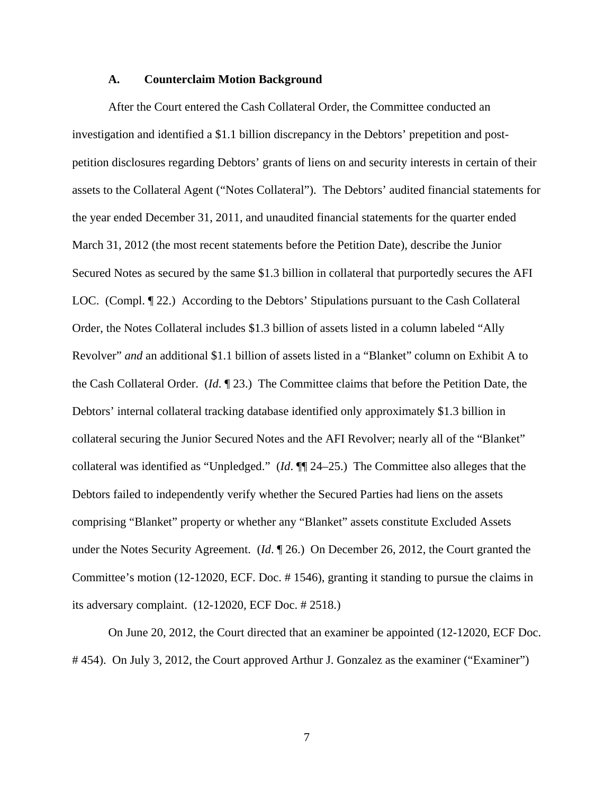#### **A. Counterclaim Motion Background**

After the Court entered the Cash Collateral Order, the Committee conducted an investigation and identified a \$1.1 billion discrepancy in the Debtors' prepetition and postpetition disclosures regarding Debtors' grants of liens on and security interests in certain of their assets to the Collateral Agent ("Notes Collateral"). The Debtors' audited financial statements for the year ended December 31, 2011, and unaudited financial statements for the quarter ended March 31, 2012 (the most recent statements before the Petition Date), describe the Junior Secured Notes as secured by the same \$1.3 billion in collateral that purportedly secures the AFI LOC. (Compl. ¶ 22.) According to the Debtors' Stipulations pursuant to the Cash Collateral Order, the Notes Collateral includes \$1.3 billion of assets listed in a column labeled "Ally Revolver" *and* an additional \$1.1 billion of assets listed in a "Blanket" column on Exhibit A to the Cash Collateral Order. (*Id*. ¶ 23.) The Committee claims that before the Petition Date, the Debtors' internal collateral tracking database identified only approximately \$1.3 billion in collateral securing the Junior Secured Notes and the AFI Revolver; nearly all of the "Blanket" collateral was identified as "Unpledged." (*Id*. ¶¶ 24–25.) The Committee also alleges that the Debtors failed to independently verify whether the Secured Parties had liens on the assets comprising "Blanket" property or whether any "Blanket" assets constitute Excluded Assets under the Notes Security Agreement. (*Id*. ¶ 26.) On December 26, 2012, the Court granted the Committee's motion (12-12020, ECF. Doc. # 1546), granting it standing to pursue the claims in its adversary complaint. (12-12020, ECF Doc. # 2518.)

On June 20, 2012, the Court directed that an examiner be appointed (12-12020, ECF Doc. # 454). On July 3, 2012, the Court approved Arthur J. Gonzalez as the examiner ("Examiner")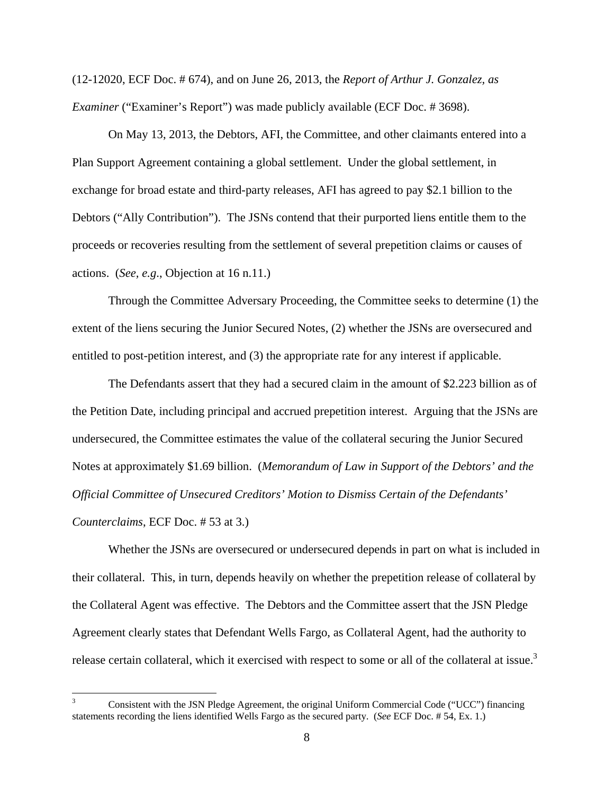(12-12020, ECF Doc. # 674), and on June 26, 2013, the *Report of Arthur J. Gonzalez, as Examiner* ("Examiner's Report") was made publicly available (ECF Doc. #3698).

On May 13, 2013, the Debtors, AFI, the Committee, and other claimants entered into a Plan Support Agreement containing a global settlement. Under the global settlement, in exchange for broad estate and third-party releases, AFI has agreed to pay \$2.1 billion to the Debtors ("Ally Contribution"). The JSNs contend that their purported liens entitle them to the proceeds or recoveries resulting from the settlement of several prepetition claims or causes of actions. (*See, e.g*., Objection at 16 n.11.)

Through the Committee Adversary Proceeding, the Committee seeks to determine (1) the extent of the liens securing the Junior Secured Notes, (2) whether the JSNs are oversecured and entitled to post-petition interest, and (3) the appropriate rate for any interest if applicable.

The Defendants assert that they had a secured claim in the amount of \$2.223 billion as of the Petition Date, including principal and accrued prepetition interest. Arguing that the JSNs are undersecured, the Committee estimates the value of the collateral securing the Junior Secured Notes at approximately \$1.69 billion. (*Memorandum of Law in Support of the Debtors' and the Official Committee of Unsecured Creditors' Motion to Dismiss Certain of the Defendants' Counterclaims*, ECF Doc. # 53 at 3.)

Whether the JSNs are oversecured or undersecured depends in part on what is included in their collateral. This, in turn, depends heavily on whether the prepetition release of collateral by the Collateral Agent was effective. The Debtors and the Committee assert that the JSN Pledge Agreement clearly states that Defendant Wells Fargo, as Collateral Agent, had the authority to release certain collateral, which it exercised with respect to some or all of the collateral at issue.<sup>3</sup>

 $\overline{a}$ 

<sup>3</sup> Consistent with the JSN Pledge Agreement, the original Uniform Commercial Code ("UCC") financing statements recording the liens identified Wells Fargo as the secured party. (*See* ECF Doc. # 54, Ex. 1.)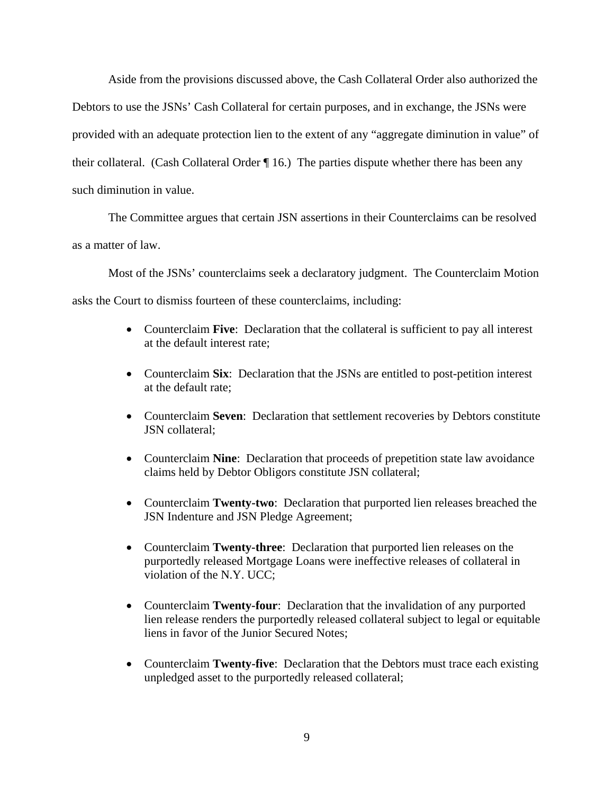Aside from the provisions discussed above, the Cash Collateral Order also authorized the Debtors to use the JSNs' Cash Collateral for certain purposes, and in exchange, the JSNs were provided with an adequate protection lien to the extent of any "aggregate diminution in value" of their collateral. (Cash Collateral Order ¶ 16.) The parties dispute whether there has been any such diminution in value.

The Committee argues that certain JSN assertions in their Counterclaims can be resolved as a matter of law.

Most of the JSNs' counterclaims seek a declaratory judgment. The Counterclaim Motion asks the Court to dismiss fourteen of these counterclaims, including:

- Counterclaim **Five**: Declaration that the collateral is sufficient to pay all interest at the default interest rate;
- Counterclaim **Six**: Declaration that the JSNs are entitled to post-petition interest at the default rate;
- Counterclaim **Seven**: Declaration that settlement recoveries by Debtors constitute JSN collateral;
- Counterclaim **Nine**: Declaration that proceeds of prepetition state law avoidance claims held by Debtor Obligors constitute JSN collateral;
- Counterclaim **Twenty-two**: Declaration that purported lien releases breached the JSN Indenture and JSN Pledge Agreement;
- Counterclaim **Twenty-three**: Declaration that purported lien releases on the purportedly released Mortgage Loans were ineffective releases of collateral in violation of the N.Y. UCC;
- Counterclaim **Twenty-four**: Declaration that the invalidation of any purported lien release renders the purportedly released collateral subject to legal or equitable liens in favor of the Junior Secured Notes;
- Counterclaim **Twenty-five**: Declaration that the Debtors must trace each existing unpledged asset to the purportedly released collateral;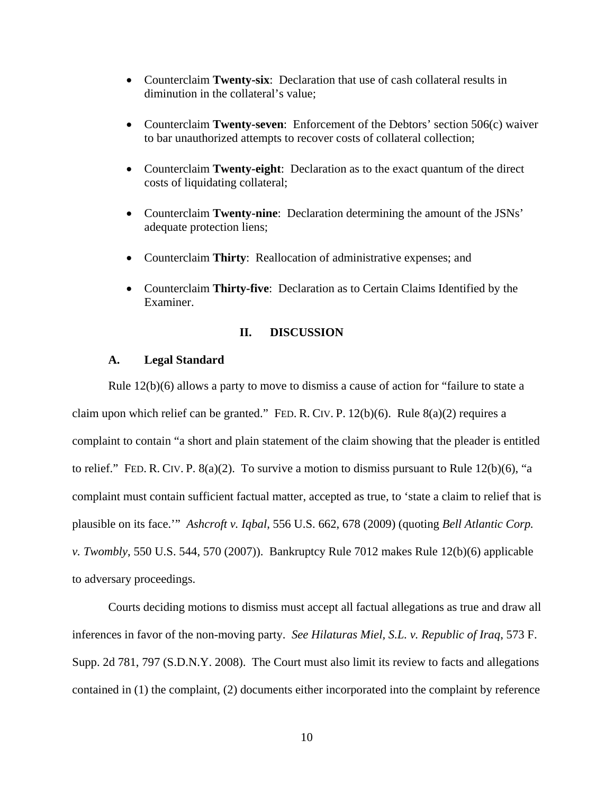- Counterclaim **Twenty-six**: Declaration that use of cash collateral results in diminution in the collateral's value;
- Counterclaim **Twenty-seven**: Enforcement of the Debtors' section 506(c) waiver to bar unauthorized attempts to recover costs of collateral collection;
- Counterclaim **Twenty-eight**: Declaration as to the exact quantum of the direct costs of liquidating collateral;
- Counterclaim **Twenty-nine**: Declaration determining the amount of the JSNs' adequate protection liens;
- Counterclaim **Thirty**: Reallocation of administrative expenses; and
- Counterclaim **Thirty-five**: Declaration as to Certain Claims Identified by the Examiner.

#### **II. DISCUSSION**

#### **A. Legal Standard**

Rule 12(b)(6) allows a party to move to dismiss a cause of action for "failure to state a claim upon which relief can be granted." FED. R. CIV. P. 12(b)(6). Rule 8(a)(2) requires a complaint to contain "a short and plain statement of the claim showing that the pleader is entitled to relief." FED. R. CIV. P.  $8(a)(2)$ . To survive a motion to dismiss pursuant to Rule 12(b)(6), "a complaint must contain sufficient factual matter, accepted as true, to 'state a claim to relief that is plausible on its face.'" *Ashcroft v. Iqbal*, 556 U.S. 662, 678 (2009) (quoting *Bell Atlantic Corp. v. Twombly*, 550 U.S. 544, 570 (2007)). Bankruptcy Rule 7012 makes Rule 12(b)(6) applicable to adversary proceedings.

Courts deciding motions to dismiss must accept all factual allegations as true and draw all inferences in favor of the non-moving party. *See Hilaturas Miel, S.L. v. Republic of Iraq*, 573 F. Supp. 2d 781, 797 (S.D.N.Y. 2008). The Court must also limit its review to facts and allegations contained in (1) the complaint, (2) documents either incorporated into the complaint by reference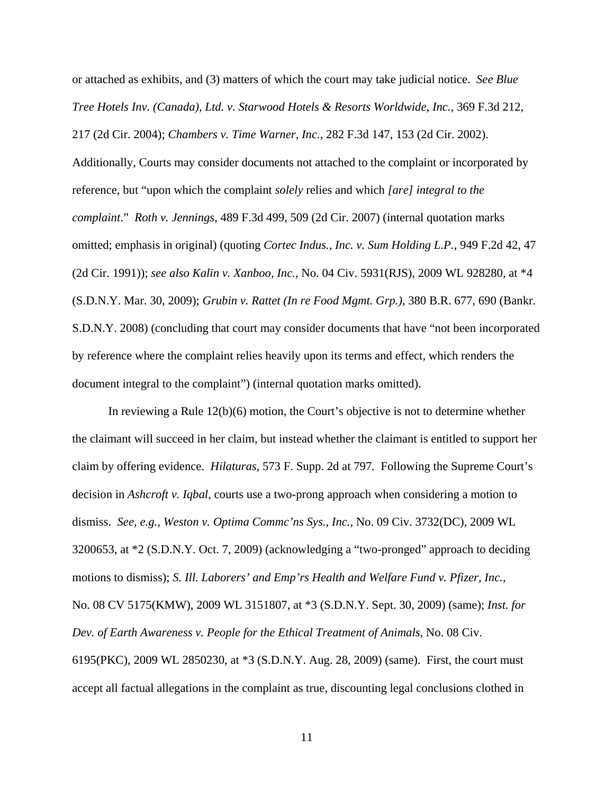or attached as exhibits, and (3) matters of which the court may take judicial notice. *See Blue Tree Hotels Inv. (Canada), Ltd. v. Starwood Hotels & Resorts Worldwide, Inc.*, 369 F.3d 212, 217 (2d Cir. 2004); *Chambers v. Time Warner, Inc.*, 282 F.3d 147, 153 (2d Cir. 2002).

Additionally, Courts may consider documents not attached to the complaint or incorporated by reference, but "upon which the complaint *solely* relies and which *[are] integral to the complaint*." *Roth v. Jennings*, 489 F.3d 499, 509 (2d Cir. 2007) (internal quotation marks omitted; emphasis in original) (quoting *Cortec Indus., Inc. v. Sum Holding L.P.*, 949 F.2d 42, 47 (2d Cir. 1991)); *see also Kalin v. Xanboo, Inc.*, No. 04 Civ. 5931(RJS), 2009 WL 928280, at \*4 (S.D.N.Y. Mar. 30, 2009); *Grubin v. Rattet (In re Food Mgmt. Grp.)*, 380 B.R. 677, 690 (Bankr. S.D.N.Y. 2008) (concluding that court may consider documents that have "not been incorporated by reference where the complaint relies heavily upon its terms and effect, which renders the document integral to the complaint") (internal quotation marks omitted).

In reviewing a Rule 12(b)(6) motion, the Court's objective is not to determine whether the claimant will succeed in her claim, but instead whether the claimant is entitled to support her claim by offering evidence. *Hilaturas,* 573 F. Supp. 2d at 797*.* Following the Supreme Court's decision in *Ashcroft v. Iqbal*, courts use a two-prong approach when considering a motion to dismiss. *See, e.g.*, *Weston v. Optima Commc'ns Sys., Inc.*, No. 09 Civ. 3732(DC), 2009 WL 3200653, at \*2 (S.D.N.Y. Oct. 7, 2009) (acknowledging a "two-pronged" approach to deciding motions to dismiss); *S. Ill. Laborers' and Emp'rs Health and Welfare Fund v. Pfizer, Inc.*, No. 08 CV 5175(KMW), 2009 WL 3151807, at \*3 (S.D.N.Y. Sept. 30, 2009) (same); *Inst. for Dev. of Earth Awareness v. People for the Ethical Treatment of Animals*, No. 08 Civ. 6195(PKC), 2009 WL 2850230, at \*3 (S.D.N.Y. Aug. 28, 2009) (same). First, the court must accept all factual allegations in the complaint as true, discounting legal conclusions clothed in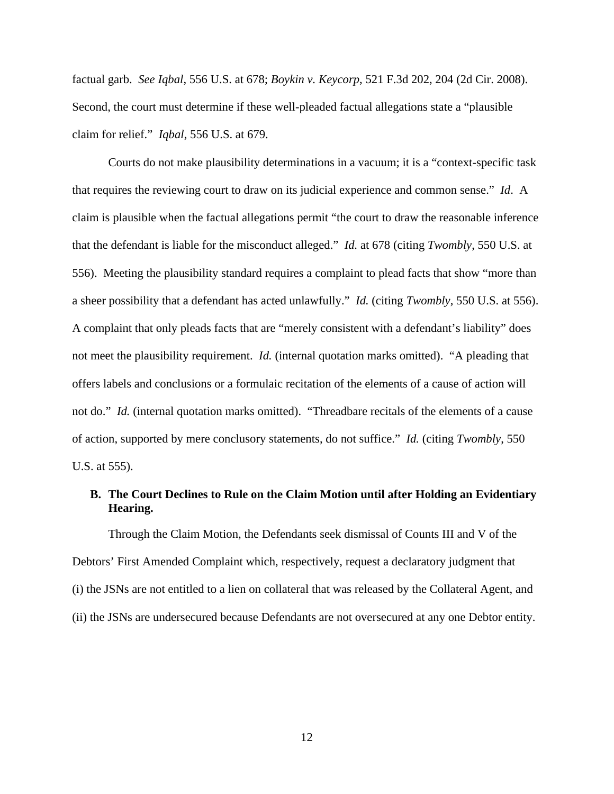factual garb. *See Iqbal*, 556 U.S. at 678; *Boykin v. Keycorp*, 521 F.3d 202, 204 (2d Cir. 2008). Second, the court must determine if these well-pleaded factual allegations state a "plausible claim for relief." *Iqbal*, 556 U.S. at 679.

Courts do not make plausibility determinations in a vacuum; it is a "context-specific task that requires the reviewing court to draw on its judicial experience and common sense." *Id*. A claim is plausible when the factual allegations permit "the court to draw the reasonable inference that the defendant is liable for the misconduct alleged." *Id.* at 678 (citing *Twombly*, 550 U.S. at 556). Meeting the plausibility standard requires a complaint to plead facts that show "more than a sheer possibility that a defendant has acted unlawfully." *Id.* (citing *Twombly*, 550 U.S. at 556). A complaint that only pleads facts that are "merely consistent with a defendant's liability" does not meet the plausibility requirement. *Id.* (internal quotation marks omitted). "A pleading that offers labels and conclusions or a formulaic recitation of the elements of a cause of action will not do." *Id.* (internal quotation marks omitted). "Threadbare recitals of the elements of a cause of action, supported by mere conclusory statements, do not suffice." *Id.* (citing *Twombly*, 550 U.S. at 555).

#### **B. The Court Declines to Rule on the Claim Motion until after Holding an Evidentiary Hearing.**

Through the Claim Motion, the Defendants seek dismissal of Counts III and V of the Debtors' First Amended Complaint which, respectively, request a declaratory judgment that (i) the JSNs are not entitled to a lien on collateral that was released by the Collateral Agent, and (ii) the JSNs are undersecured because Defendants are not oversecured at any one Debtor entity.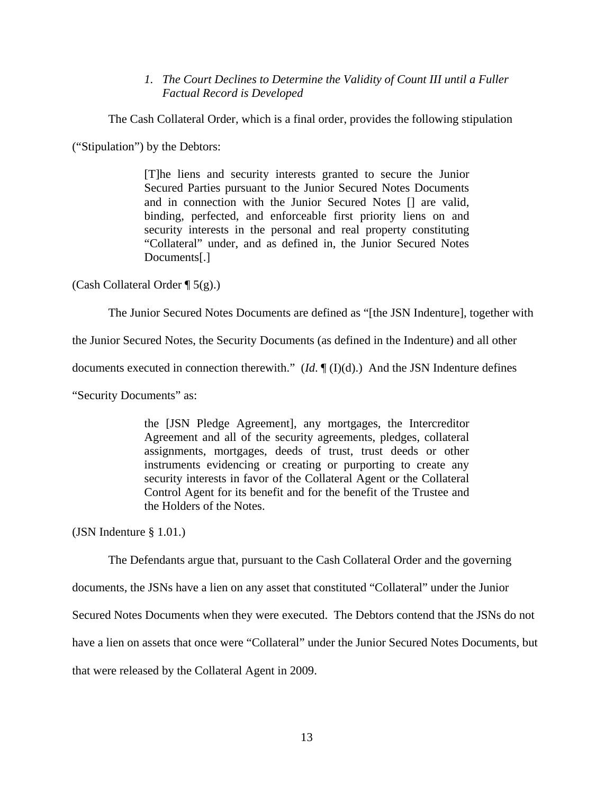*1. The Court Declines to Determine the Validity of Count III until a Fuller Factual Record is Developed* 

The Cash Collateral Order, which is a final order, provides the following stipulation

("Stipulation") by the Debtors:

[T]he liens and security interests granted to secure the Junior Secured Parties pursuant to the Junior Secured Notes Documents and in connection with the Junior Secured Notes [] are valid, binding, perfected, and enforceable first priority liens on and security interests in the personal and real property constituting "Collateral" under, and as defined in, the Junior Secured Notes Documents[.]

(Cash Collateral Order  $\P$  5(g).)

The Junior Secured Notes Documents are defined as "[the JSN Indenture], together with

the Junior Secured Notes, the Security Documents (as defined in the Indenture) and all other

documents executed in connection therewith." (*Id*. ¶ (I)(d).) And the JSN Indenture defines

"Security Documents" as:

the [JSN Pledge Agreement], any mortgages, the Intercreditor Agreement and all of the security agreements, pledges, collateral assignments, mortgages, deeds of trust, trust deeds or other instruments evidencing or creating or purporting to create any security interests in favor of the Collateral Agent or the Collateral Control Agent for its benefit and for the benefit of the Trustee and the Holders of the Notes.

(JSN Indenture § 1.01.)

The Defendants argue that, pursuant to the Cash Collateral Order and the governing

documents, the JSNs have a lien on any asset that constituted "Collateral" under the Junior

Secured Notes Documents when they were executed. The Debtors contend that the JSNs do not

have a lien on assets that once were "Collateral" under the Junior Secured Notes Documents, but

that were released by the Collateral Agent in 2009.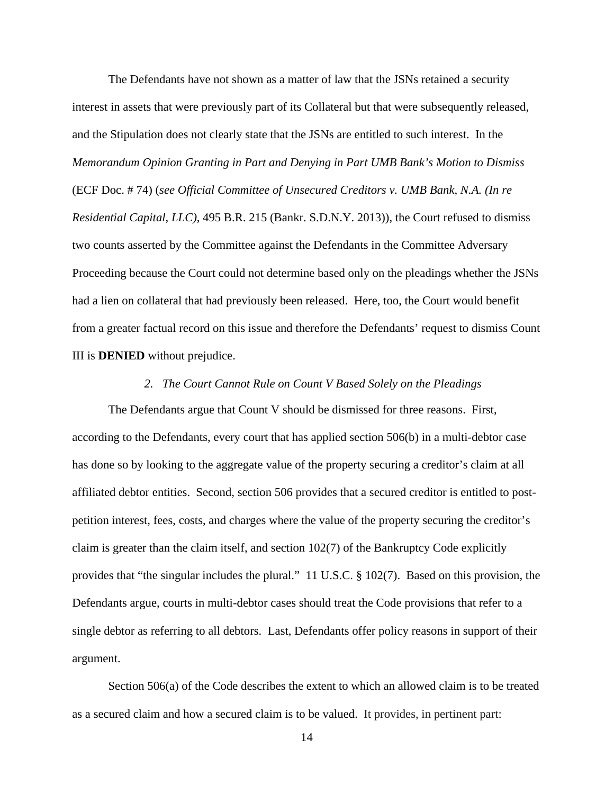The Defendants have not shown as a matter of law that the JSNs retained a security interest in assets that were previously part of its Collateral but that were subsequently released, and the Stipulation does not clearly state that the JSNs are entitled to such interest. In the *Memorandum Opinion Granting in Part and Denying in Part UMB Bank's Motion to Dismiss* (ECF Doc. # 74) (*see Official Committee of Unsecured Creditors v. UMB Bank, N.A. (In re Residential Capital, LLC)*, 495 B.R. 215 (Bankr. S.D.N.Y. 2013)), the Court refused to dismiss two counts asserted by the Committee against the Defendants in the Committee Adversary Proceeding because the Court could not determine based only on the pleadings whether the JSNs had a lien on collateral that had previously been released. Here, too, the Court would benefit from a greater factual record on this issue and therefore the Defendants' request to dismiss Count III is **DENIED** without prejudice.

#### *2. The Court Cannot Rule on Count V Based Solely on the Pleadings*

The Defendants argue that Count V should be dismissed for three reasons. First, according to the Defendants, every court that has applied section 506(b) in a multi-debtor case has done so by looking to the aggregate value of the property securing a creditor's claim at all affiliated debtor entities. Second, section 506 provides that a secured creditor is entitled to postpetition interest, fees, costs, and charges where the value of the property securing the creditor's claim is greater than the claim itself, and section  $102(7)$  of the Bankruptcy Code explicitly provides that "the singular includes the plural." 11 U.S.C. § 102(7). Based on this provision, the Defendants argue, courts in multi-debtor cases should treat the Code provisions that refer to a single debtor as referring to all debtors. Last, Defendants offer policy reasons in support of their argument.

Section 506(a) of the Code describes the extent to which an allowed claim is to be treated as a secured claim and how a secured claim is to be valued. It provides, in pertinent part: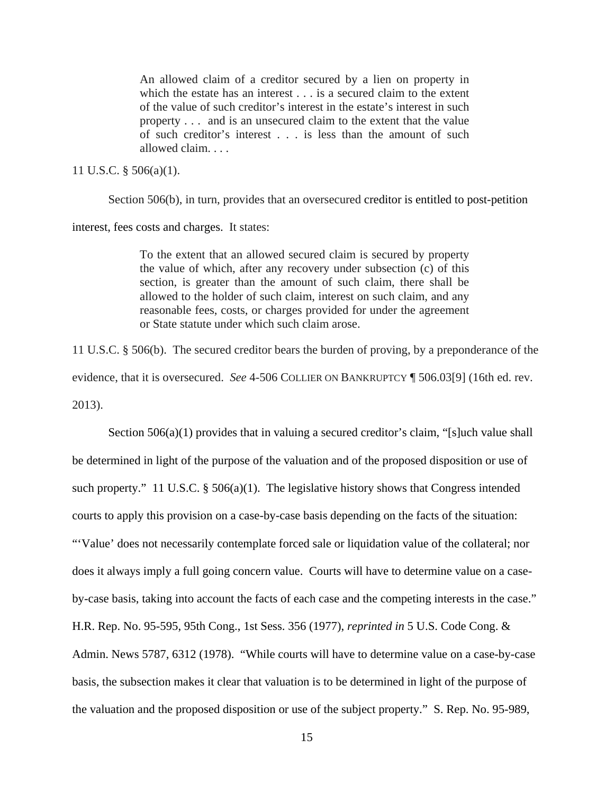An allowed claim of a creditor secured by a lien on property in which the estate has an interest . . . is a secured claim to the extent of the value of such creditor's interest in the estate's interest in such property . . . and is an unsecured claim to the extent that the value of such creditor's interest . . . is less than the amount of such allowed claim. . . .

#### 11 U.S.C. § 506(a)(1).

Section 506(b), in turn, provides that an oversecured creditor is entitled to post-petition

interest, fees costs and charges. It states:

To the extent that an allowed secured claim is secured by property the value of which, after any recovery under subsection (c) of this section, is greater than the amount of such claim, there shall be allowed to the holder of such claim, interest on such claim, and any reasonable fees, costs, or charges provided for under the agreement or State statute under which such claim arose.

11 U.S.C. § 506(b). The secured creditor bears the burden of proving, by a preponderance of the evidence, that it is oversecured. *See* 4-506 COLLIER ON BANKRUPTCY ¶ 506.03[9] (16th ed. rev. 2013).

Section 506(a)(1) provides that in valuing a secured creditor's claim, "[s]uch value shall be determined in light of the purpose of the valuation and of the proposed disposition or use of such property." 11 U.S.C. § 506(a)(1). The legislative history shows that Congress intended courts to apply this provision on a case-by-case basis depending on the facts of the situation: "'Value' does not necessarily contemplate forced sale or liquidation value of the collateral; nor does it always imply a full going concern value. Courts will have to determine value on a caseby-case basis, taking into account the facts of each case and the competing interests in the case." H.R. Rep. No. 95-595, 95th Cong., 1st Sess. 356 (1977), *reprinted in* 5 U.S. Code Cong. & Admin. News 5787, 6312 (1978). "While courts will have to determine value on a case-by-case basis, the subsection makes it clear that valuation is to be determined in light of the purpose of the valuation and the proposed disposition or use of the subject property." S. Rep. No. 95-989,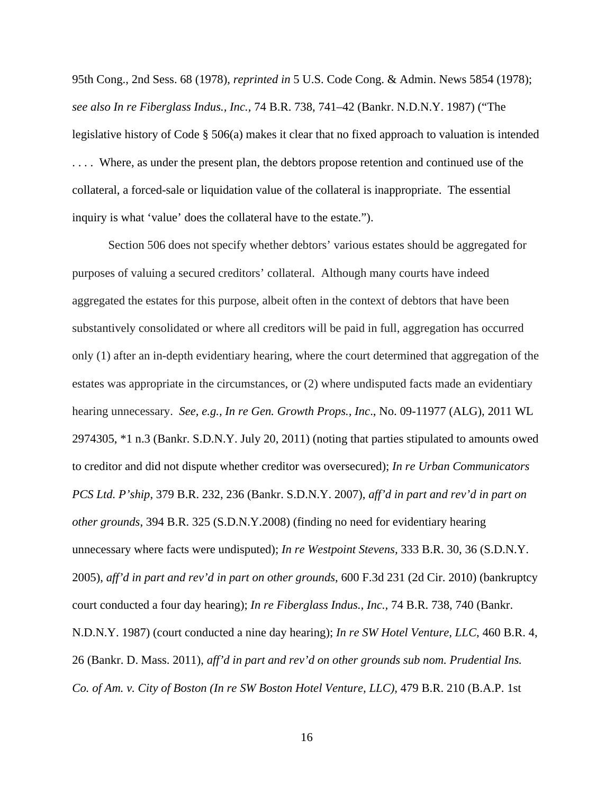95th Cong., 2nd Sess. 68 (1978), *reprinted in* 5 U.S. Code Cong. & Admin. News 5854 (1978); *see also In re Fiberglass Indus., Inc.,* 74 B.R. 738, 741–42 (Bankr. N.D.N.Y. 1987) ("The legislative history of Code § 506(a) makes it clear that no fixed approach to valuation is intended . . . . Where, as under the present plan, the debtors propose retention and continued use of the collateral, a forced-sale or liquidation value of the collateral is inappropriate. The essential inquiry is what 'value' does the collateral have to the estate.").

Section 506 does not specify whether debtors' various estates should be aggregated for purposes of valuing a secured creditors' collateral. Although many courts have indeed aggregated the estates for this purpose, albeit often in the context of debtors that have been substantively consolidated or where all creditors will be paid in full, aggregation has occurred only (1) after an in-depth evidentiary hearing, where the court determined that aggregation of the estates was appropriate in the circumstances, or (2) where undisputed facts made an evidentiary hearing unnecessary. *See, e.g., In re Gen. Growth Props., Inc*., No. 09-11977 (ALG), 2011 WL 2974305, \*1 n.3 (Bankr. S.D.N.Y. July 20, 2011) (noting that parties stipulated to amounts owed to creditor and did not dispute whether creditor was oversecured); *In re Urban Communicators PCS Ltd. P'ship*, 379 B.R. 232, 236 (Bankr. S.D.N.Y. 2007), *aff'd in part and rev'd in part on other grounds*, 394 B.R. 325 (S.D.N.Y.2008) (finding no need for evidentiary hearing unnecessary where facts were undisputed); *In re Westpoint Stevens,* 333 B.R. 30, 36 (S.D.N.Y. 2005), *aff'd in part and rev'd in part on other grounds*, 600 F.3d 231 (2d Cir. 2010) (bankruptcy court conducted a four day hearing); *In re Fiberglass Indus., Inc.,* 74 B.R. 738, 740 (Bankr. N.D.N.Y. 1987) (court conducted a nine day hearing); *In re SW Hotel Venture, LLC*, 460 B.R. 4, 26 (Bankr. D. Mass. 2011), *aff'd in part and rev'd on other grounds sub nom. Prudential Ins. Co. of Am. v. City of Boston (In re SW Boston Hotel Venture, LLC),* 479 B.R. 210 (B.A.P. 1st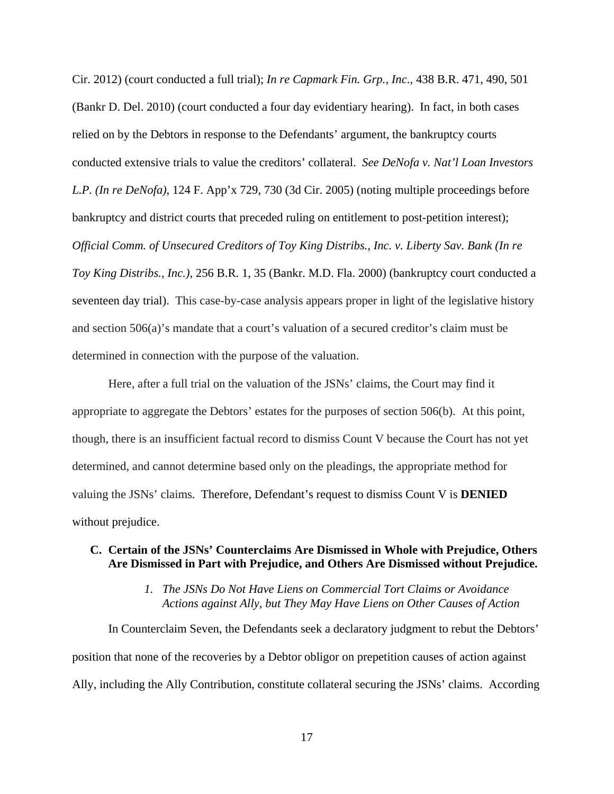Cir. 2012) (court conducted a full trial); *In re Capmark Fin. Grp., Inc*., 438 B.R. 471, 490, 501 (Bankr D. Del. 2010) (court conducted a four day evidentiary hearing). In fact, in both cases relied on by the Debtors in response to the Defendants' argument, the bankruptcy courts conducted extensive trials to value the creditors' collateral. *See DeNofa v. Nat'l Loan Investors L.P. (In re DeNofa)*, 124 F. App'x 729, 730 (3d Cir. 2005) (noting multiple proceedings before bankruptcy and district courts that preceded ruling on entitlement to post-petition interest); *Official Comm. of Unsecured Creditors of Toy King Distribs., Inc. v. Liberty Sav. Bank (In re Toy King Distribs., Inc.)*, 256 B.R. 1, 35 (Bankr. M.D. Fla. 2000) (bankruptcy court conducted a seventeen day trial). This case-by-case analysis appears proper in light of the legislative history and section 506(a)'s mandate that a court's valuation of a secured creditor's claim must be determined in connection with the purpose of the valuation.

Here, after a full trial on the valuation of the JSNs' claims, the Court may find it appropriate to aggregate the Debtors' estates for the purposes of section 506(b). At this point, though, there is an insufficient factual record to dismiss Count V because the Court has not yet determined, and cannot determine based only on the pleadings, the appropriate method for valuing the JSNs' claims. Therefore, Defendant's request to dismiss Count V is **DENIED**  without prejudice.

### **C. Certain of the JSNs' Counterclaims Are Dismissed in Whole with Prejudice, Others Are Dismissed in Part with Prejudice, and Others Are Dismissed without Prejudice.**

### *1. The JSNs Do Not Have Liens on Commercial Tort Claims or Avoidance Actions against Ally, but They May Have Liens on Other Causes of Action*

In Counterclaim Seven, the Defendants seek a declaratory judgment to rebut the Debtors' position that none of the recoveries by a Debtor obligor on prepetition causes of action against Ally, including the Ally Contribution, constitute collateral securing the JSNs' claims. According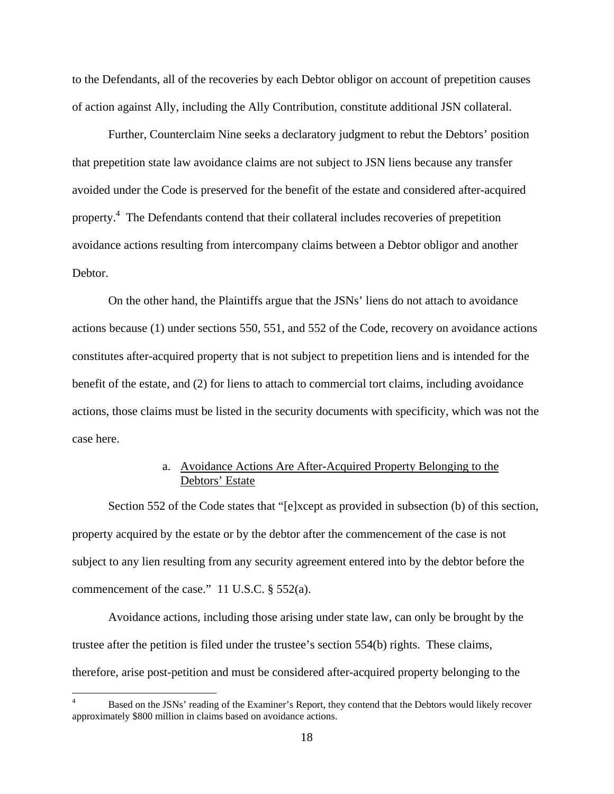to the Defendants, all of the recoveries by each Debtor obligor on account of prepetition causes of action against Ally, including the Ally Contribution, constitute additional JSN collateral.

Further, Counterclaim Nine seeks a declaratory judgment to rebut the Debtors' position that prepetition state law avoidance claims are not subject to JSN liens because any transfer avoided under the Code is preserved for the benefit of the estate and considered after-acquired property.<sup>4</sup> The Defendants contend that their collateral includes recoveries of prepetition avoidance actions resulting from intercompany claims between a Debtor obligor and another Debtor.

On the other hand, the Plaintiffs argue that the JSNs' liens do not attach to avoidance actions because (1) under sections 550, 551, and 552 of the Code, recovery on avoidance actions constitutes after-acquired property that is not subject to prepetition liens and is intended for the benefit of the estate, and (2) for liens to attach to commercial tort claims, including avoidance actions, those claims must be listed in the security documents with specificity, which was not the case here.

### a. Avoidance Actions Are After-Acquired Property Belonging to the Debtors' Estate

Section 552 of the Code states that "[e]xcept as provided in subsection (b) of this section, property acquired by the estate or by the debtor after the commencement of the case is not subject to any lien resulting from any security agreement entered into by the debtor before the commencement of the case." 11 U.S.C. § 552(a).

Avoidance actions, including those arising under state law, can only be brought by the trustee after the petition is filed under the trustee's section 554(b) rights. These claims, therefore, arise post-petition and must be considered after-acquired property belonging to the

<sup>4</sup> Based on the JSNs' reading of the Examiner's Report, they contend that the Debtors would likely recover approximately \$800 million in claims based on avoidance actions.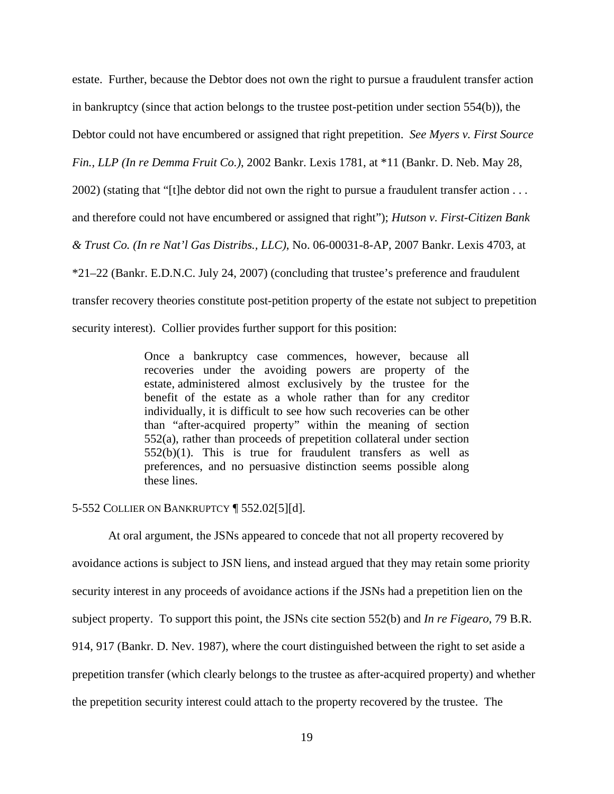estate. Further, because the Debtor does not own the right to pursue a fraudulent transfer action in bankruptcy (since that action belongs to the trustee post-petition under section 554(b)), the

Debtor could not have encumbered or assigned that right prepetition. *See Myers v. First Source* 

*Fin., LLP (In re Demma Fruit Co.)*, 2002 Bankr. Lexis 1781, at \*11 (Bankr. D. Neb. May 28,

2002) (stating that "[t]he debtor did not own the right to pursue a fraudulent transfer action . . .

and therefore could not have encumbered or assigned that right"); *Hutson v. First-Citizen Bank* 

*& Trust Co. (In re Nat'l Gas Distribs., LLC)*, No. 06-00031-8-AP, 2007 Bankr. Lexis 4703, at

\*21–22 (Bankr. E.D.N.C. July 24, 2007) (concluding that trustee's preference and fraudulent

transfer recovery theories constitute post-petition property of the estate not subject to prepetition

security interest). Collier provides further support for this position:

Once a bankruptcy case commences, however, because all recoveries under the avoiding powers are property of the estate, administered almost exclusively by the trustee for the benefit of the estate as a whole rather than for any creditor individually, it is difficult to see how such recoveries can be other than "after-acquired property" within the meaning of section 552(a), rather than proceeds of prepetition collateral under section  $552(b)(1)$ . This is true for fraudulent transfers as well as preferences, and no persuasive distinction seems possible along these lines.

5-552 COLLIER ON BANKRUPTCY ¶ 552.02[5][d].

At oral argument, the JSNs appeared to concede that not all property recovered by avoidance actions is subject to JSN liens, and instead argued that they may retain some priority security interest in any proceeds of avoidance actions if the JSNs had a prepetition lien on the subject property. To support this point, the JSNs cite section 552(b) and *In re Figearo*, 79 B.R. 914, 917 (Bankr. D. Nev. 1987), where the court distinguished between the right to set aside a prepetition transfer (which clearly belongs to the trustee as after-acquired property) and whether the prepetition security interest could attach to the property recovered by the trustee. The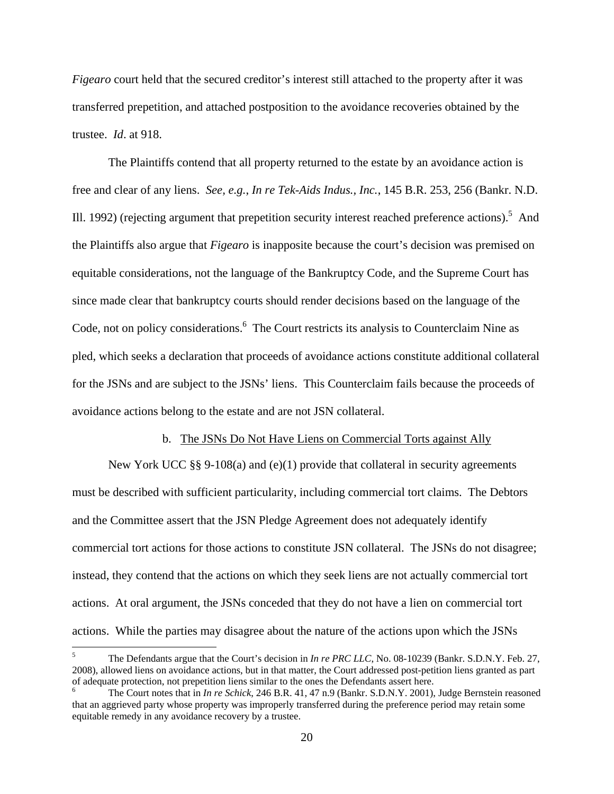*Figearo* court held that the secured creditor's interest still attached to the property after it was transferred prepetition, and attached postposition to the avoidance recoveries obtained by the trustee. *Id*. at 918.

The Plaintiffs contend that all property returned to the estate by an avoidance action is free and clear of any liens. *See, e.g.*, *In re Tek-Aids Indus., Inc.*, 145 B.R. 253, 256 (Bankr. N.D. Ill. 1992) (rejecting argument that prepetition security interest reached preference actions).<sup>5</sup> And the Plaintiffs also argue that *Figearo* is inapposite because the court's decision was premised on equitable considerations, not the language of the Bankruptcy Code, and the Supreme Court has since made clear that bankruptcy courts should render decisions based on the language of the Code, not on policy considerations.<sup>6</sup> The Court restricts its analysis to Counterclaim Nine as pled, which seeks a declaration that proceeds of avoidance actions constitute additional collateral for the JSNs and are subject to the JSNs' liens. This Counterclaim fails because the proceeds of avoidance actions belong to the estate and are not JSN collateral.

#### b. The JSNs Do Not Have Liens on Commercial Torts against Ally

New York UCC §§ 9-108(a) and (e)(1) provide that collateral in security agreements must be described with sufficient particularity, including commercial tort claims. The Debtors and the Committee assert that the JSN Pledge Agreement does not adequately identify commercial tort actions for those actions to constitute JSN collateral. The JSNs do not disagree; instead, they contend that the actions on which they seek liens are not actually commercial tort actions. At oral argument, the JSNs conceded that they do not have a lien on commercial tort actions. While the parties may disagree about the nature of the actions upon which the JSNs

 $\overline{a}$ 

<sup>5</sup> The Defendants argue that the Court's decision in *In re PRC LLC*, No. 08-10239 (Bankr. S.D.N.Y. Feb. 27, 2008), allowed liens on avoidance actions, but in that matter, the Court addressed post-petition liens granted as part of adequate protection, not prepetition liens similar to the ones the Defendants assert here. 6

The Court notes that in *In re Schick*, 246 B.R. 41, 47 n.9 (Bankr. S.D.N.Y. 2001), Judge Bernstein reasoned that an aggrieved party whose property was improperly transferred during the preference period may retain some equitable remedy in any avoidance recovery by a trustee.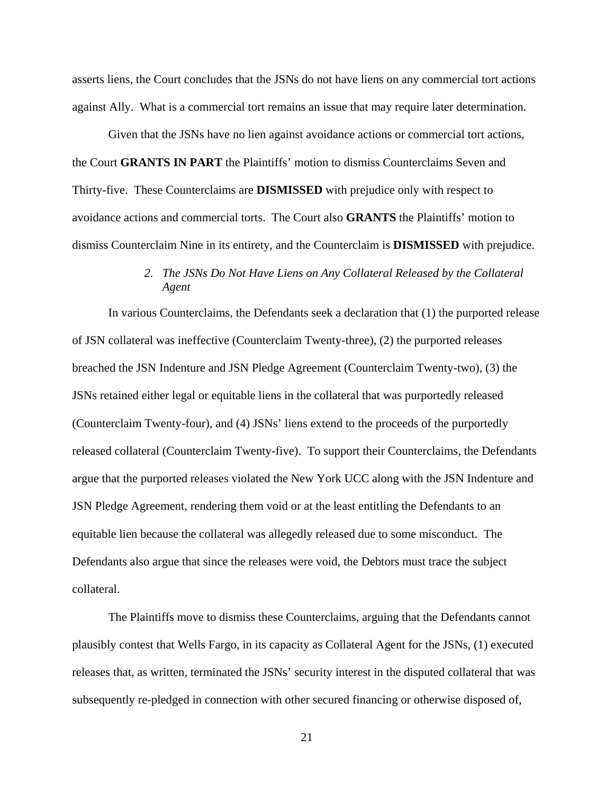asserts liens, the Court concludes that the JSNs do not have liens on any commercial tort actions against Ally. What is a commercial tort remains an issue that may require later determination.

Given that the JSNs have no lien against avoidance actions or commercial tort actions, the Court **GRANTS IN PART** the Plaintiffs' motion to dismiss Counterclaims Seven and Thirty-five. These Counterclaims are **DISMISSED** with prejudice only with respect to avoidance actions and commercial torts. The Court also **GRANTS** the Plaintiffs' motion to dismiss Counterclaim Nine in its entirety, and the Counterclaim is **DISMISSED** with prejudice.

### *2. The JSNs Do Not Have Liens on Any Collateral Released by the Collateral Agent*

In various Counterclaims, the Defendants seek a declaration that (1) the purported release of JSN collateral was ineffective (Counterclaim Twenty-three), (2) the purported releases breached the JSN Indenture and JSN Pledge Agreement (Counterclaim Twenty-two), (3) the JSNs retained either legal or equitable liens in the collateral that was purportedly released (Counterclaim Twenty-four), and (4) JSNs' liens extend to the proceeds of the purportedly released collateral (Counterclaim Twenty-five). To support their Counterclaims, the Defendants argue that the purported releases violated the New York UCC along with the JSN Indenture and JSN Pledge Agreement, rendering them void or at the least entitling the Defendants to an equitable lien because the collateral was allegedly released due to some misconduct. The Defendants also argue that since the releases were void, the Debtors must trace the subject collateral.

The Plaintiffs move to dismiss these Counterclaims, arguing that the Defendants cannot plausibly contest that Wells Fargo, in its capacity as Collateral Agent for the JSNs, (1) executed releases that, as written, terminated the JSNs' security interest in the disputed collateral that was subsequently re-pledged in connection with other secured financing or otherwise disposed of,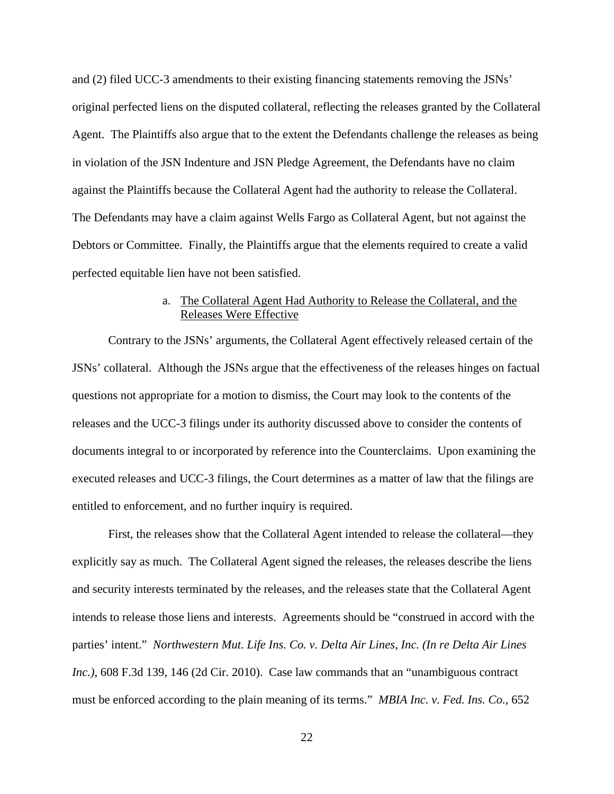and (2) filed UCC-3 amendments to their existing financing statements removing the JSNs' original perfected liens on the disputed collateral, reflecting the releases granted by the Collateral Agent. The Plaintiffs also argue that to the extent the Defendants challenge the releases as being in violation of the JSN Indenture and JSN Pledge Agreement, the Defendants have no claim against the Plaintiffs because the Collateral Agent had the authority to release the Collateral. The Defendants may have a claim against Wells Fargo as Collateral Agent, but not against the Debtors or Committee. Finally, the Plaintiffs argue that the elements required to create a valid perfected equitable lien have not been satisfied.

### a. The Collateral Agent Had Authority to Release the Collateral, and the Releases Were Effective

Contrary to the JSNs' arguments, the Collateral Agent effectively released certain of the JSNs' collateral. Although the JSNs argue that the effectiveness of the releases hinges on factual questions not appropriate for a motion to dismiss, the Court may look to the contents of the releases and the UCC-3 filings under its authority discussed above to consider the contents of documents integral to or incorporated by reference into the Counterclaims. Upon examining the executed releases and UCC-3 filings, the Court determines as a matter of law that the filings are entitled to enforcement, and no further inquiry is required.

First, the releases show that the Collateral Agent intended to release the collateral—they explicitly say as much. The Collateral Agent signed the releases, the releases describe the liens and security interests terminated by the releases, and the releases state that the Collateral Agent intends to release those liens and interests. Agreements should be "construed in accord with the parties' intent." *Northwestern Mut. Life Ins. Co. v. Delta Air Lines, Inc. (In re Delta Air Lines Inc.)*, 608 F.3d 139, 146 (2d Cir. 2010). Case law commands that an "unambiguous contract must be enforced according to the plain meaning of its terms." *MBIA Inc. v. Fed. Ins. Co.*, 652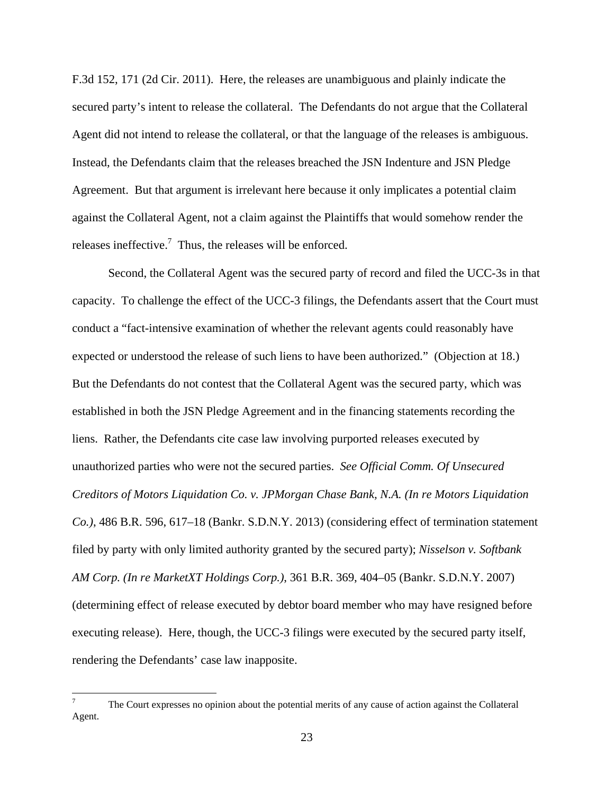F.3d 152, 171 (2d Cir. 2011). Here, the releases are unambiguous and plainly indicate the secured party's intent to release the collateral. The Defendants do not argue that the Collateral Agent did not intend to release the collateral, or that the language of the releases is ambiguous. Instead, the Defendants claim that the releases breached the JSN Indenture and JSN Pledge Agreement. But that argument is irrelevant here because it only implicates a potential claim against the Collateral Agent, not a claim against the Plaintiffs that would somehow render the releases ineffective.<sup>7</sup> Thus, the releases will be enforced.

Second, the Collateral Agent was the secured party of record and filed the UCC-3s in that capacity. To challenge the effect of the UCC-3 filings, the Defendants assert that the Court must conduct a "fact-intensive examination of whether the relevant agents could reasonably have expected or understood the release of such liens to have been authorized." (Objection at 18.) But the Defendants do not contest that the Collateral Agent was the secured party, which was established in both the JSN Pledge Agreement and in the financing statements recording the liens. Rather, the Defendants cite case law involving purported releases executed by unauthorized parties who were not the secured parties. *See Official Comm. Of Unsecured Creditors of Motors Liquidation Co. v. JPMorgan Chase Bank, N.A. (In re Motors Liquidation Co.)*, 486 B.R. 596, 617–18 (Bankr. S.D.N.Y. 2013) (considering effect of termination statement filed by party with only limited authority granted by the secured party); *Nisselson v. Softbank AM Corp. (In re MarketXT Holdings Corp.)*, 361 B.R. 369, 404–05 (Bankr. S.D.N.Y. 2007) (determining effect of release executed by debtor board member who may have resigned before executing release). Here, though, the UCC-3 filings were executed by the secured party itself, rendering the Defendants' case law inapposite.

 $\overline{a}$ 

<sup>7</sup> The Court expresses no opinion about the potential merits of any cause of action against the Collateral Agent.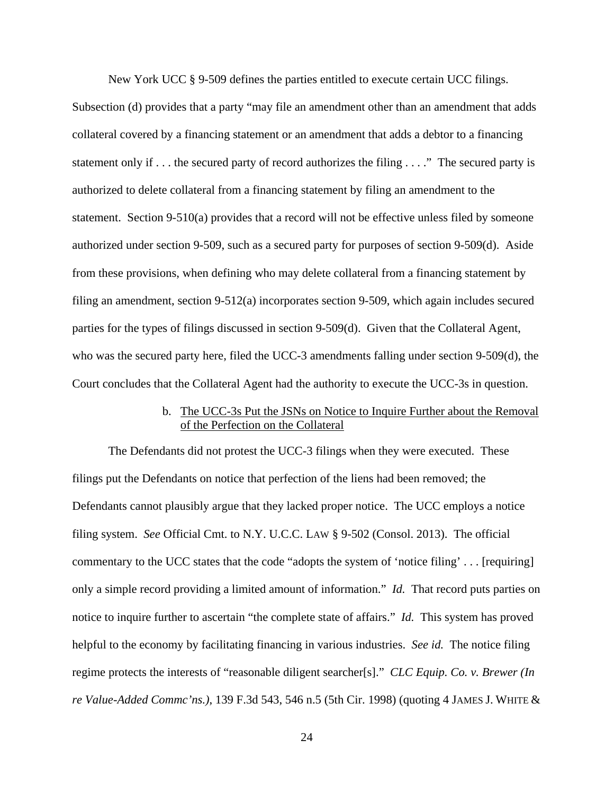New York UCC § 9-509 defines the parties entitled to execute certain UCC filings.

Subsection (d) provides that a party "may file an amendment other than an amendment that adds collateral covered by a financing statement or an amendment that adds a debtor to a financing statement only if . . . the secured party of record authorizes the filing . . . ." The secured party is authorized to delete collateral from a financing statement by filing an amendment to the statement. Section 9-510(a) provides that a record will not be effective unless filed by someone authorized under section 9-509, such as a secured party for purposes of section 9-509(d). Aside from these provisions, when defining who may delete collateral from a financing statement by filing an amendment, section 9-512(a) incorporates section 9-509, which again includes secured parties for the types of filings discussed in section 9-509(d). Given that the Collateral Agent, who was the secured party here, filed the UCC-3 amendments falling under section 9-509(d), the Court concludes that the Collateral Agent had the authority to execute the UCC-3s in question.

### b. The UCC-3s Put the JSNs on Notice to Inquire Further about the Removal of the Perfection on the Collateral

The Defendants did not protest the UCC-3 filings when they were executed. These filings put the Defendants on notice that perfection of the liens had been removed; the Defendants cannot plausibly argue that they lacked proper notice. The UCC employs a notice filing system. *See* Official Cmt. to N.Y. U.C.C. LAW § 9-502 (Consol. 2013). The official commentary to the UCC states that the code "adopts the system of 'notice filing' . . . [requiring] only a simple record providing a limited amount of information." *Id.* That record puts parties on notice to inquire further to ascertain "the complete state of affairs." *Id.* This system has proved helpful to the economy by facilitating financing in various industries. *See id.* The notice filing regime protects the interests of "reasonable diligent searcher[s]." *CLC Equip. Co. v. Brewer (In re Value-Added Commc'ns.)*, 139 F.3d 543, 546 n.5 (5th Cir. 1998) (quoting 4 JAMES J. WHITE &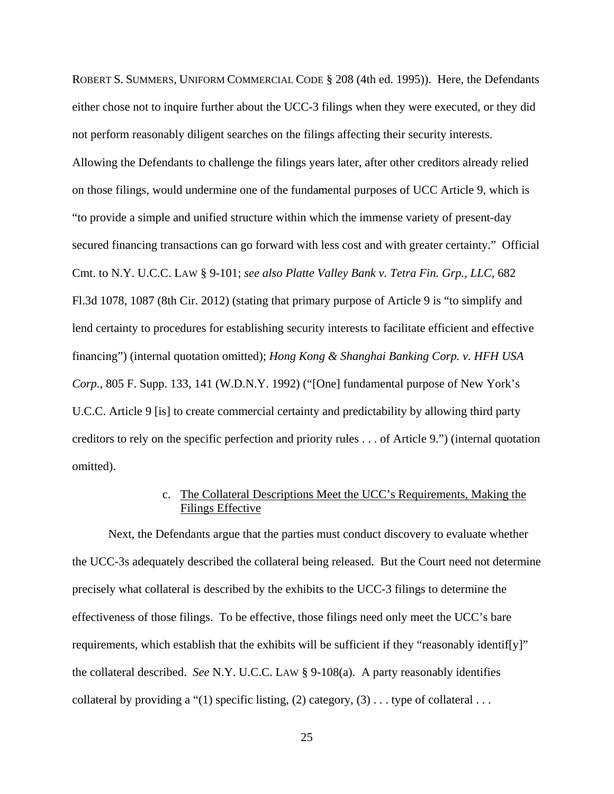ROBERT S. SUMMERS, UNIFORM COMMERCIAL CODE § 208 (4th ed. 1995)). Here, the Defendants either chose not to inquire further about the UCC-3 filings when they were executed, or they did not perform reasonably diligent searches on the filings affecting their security interests. Allowing the Defendants to challenge the filings years later, after other creditors already relied on those filings, would undermine one of the fundamental purposes of UCC Article 9, which is "to provide a simple and unified structure within which the immense variety of present-day secured financing transactions can go forward with less cost and with greater certainty." Official Cmt. to N.Y. U.C.C. LAW § 9-101; *see also Platte Valley Bank v. Tetra Fin. Grp., LLC*, 682 Fl.3d 1078, 1087 (8th Cir. 2012) (stating that primary purpose of Article 9 is "to simplify and lend certainty to procedures for establishing security interests to facilitate efficient and effective financing") (internal quotation omitted); *Hong Kong & Shanghai Banking Corp. v. HFH USA Corp.*, 805 F. Supp. 133, 141 (W.D.N.Y. 1992) ("[One] fundamental purpose of New York's U.C.C. Article 9 [is] to create commercial certainty and predictability by allowing third party creditors to rely on the specific perfection and priority rules . . . of Article 9.") (internal quotation omitted).

# c. The Collateral Descriptions Meet the UCC's Requirements, Making the Filings Effective

Next, the Defendants argue that the parties must conduct discovery to evaluate whether the UCC-3s adequately described the collateral being released. But the Court need not determine precisely what collateral is described by the exhibits to the UCC-3 filings to determine the effectiveness of those filings. To be effective, those filings need only meet the UCC's bare requirements, which establish that the exhibits will be sufficient if they "reasonably identif[y]" the collateral described. *See* N.Y. U.C.C. LAW § 9-108(a). A party reasonably identifies collateral by providing a "(1) specific listing, (2) category, (3)  $\dots$  type of collateral  $\dots$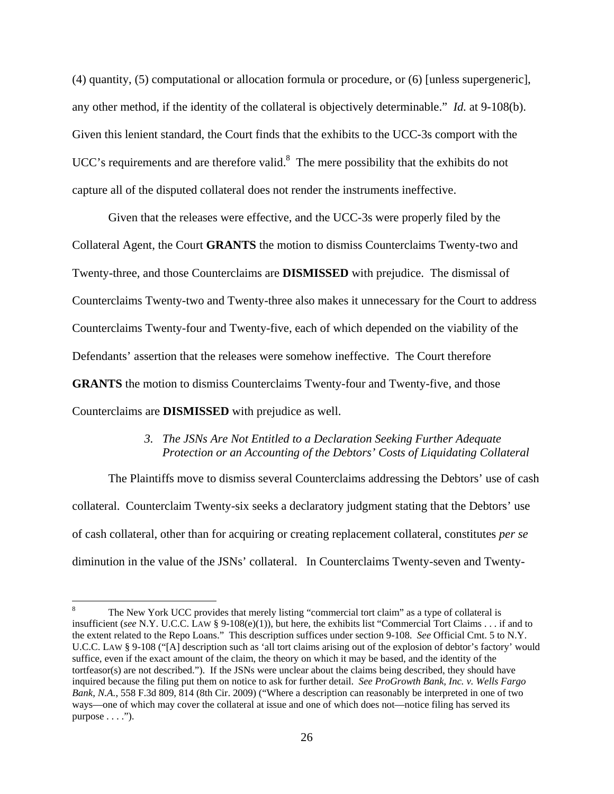(4) quantity, (5) computational or allocation formula or procedure, or (6) [unless supergeneric], any other method, if the identity of the collateral is objectively determinable." *Id.* at 9-108(b). Given this lenient standard, the Court finds that the exhibits to the UCC-3s comport with the UCC's requirements and are therefore valid. $8$  The mere possibility that the exhibits do not capture all of the disputed collateral does not render the instruments ineffective.

Given that the releases were effective, and the UCC-3s were properly filed by the Collateral Agent, the Court **GRANTS** the motion to dismiss Counterclaims Twenty-two and Twenty-three, and those Counterclaims are **DISMISSED** with prejudice. The dismissal of Counterclaims Twenty-two and Twenty-three also makes it unnecessary for the Court to address Counterclaims Twenty-four and Twenty-five, each of which depended on the viability of the Defendants' assertion that the releases were somehow ineffective. The Court therefore **GRANTS** the motion to dismiss Counterclaims Twenty-four and Twenty-five, and those Counterclaims are **DISMISSED** with prejudice as well.

### *3. The JSNs Are Not Entitled to a Declaration Seeking Further Adequate Protection or an Accounting of the Debtors' Costs of Liquidating Collateral*

The Plaintiffs move to dismiss several Counterclaims addressing the Debtors' use of cash collateral. Counterclaim Twenty-six seeks a declaratory judgment stating that the Debtors' use of cash collateral, other than for acquiring or creating replacement collateral, constitutes *per se* diminution in the value of the JSNs' collateral. In Counterclaims Twenty-seven and Twenty-

<sup>8</sup> The New York UCC provides that merely listing "commercial tort claim" as a type of collateral is insufficient (*see* N.Y. U.C.C. LAW § 9-108(e)(1)), but here, the exhibits list "Commercial Tort Claims . . . if and to the extent related to the Repo Loans." This description suffices under section 9-108. *See* Official Cmt. 5 to N.Y. U.C.C. LAW § 9-108 ("[A] description such as 'all tort claims arising out of the explosion of debtor's factory' would suffice, even if the exact amount of the claim, the theory on which it may be based, and the identity of the tortfeasor(s) are not described."). If the JSNs were unclear about the claims being described, they should have inquired because the filing put them on notice to ask for further detail. *See ProGrowth Bank, Inc. v. Wells Fargo Bank, N.A.*, 558 F.3d 809, 814 (8th Cir. 2009) ("Where a description can reasonably be interpreted in one of two ways—one of which may cover the collateral at issue and one of which does not—notice filing has served its purpose  $\dots$ .").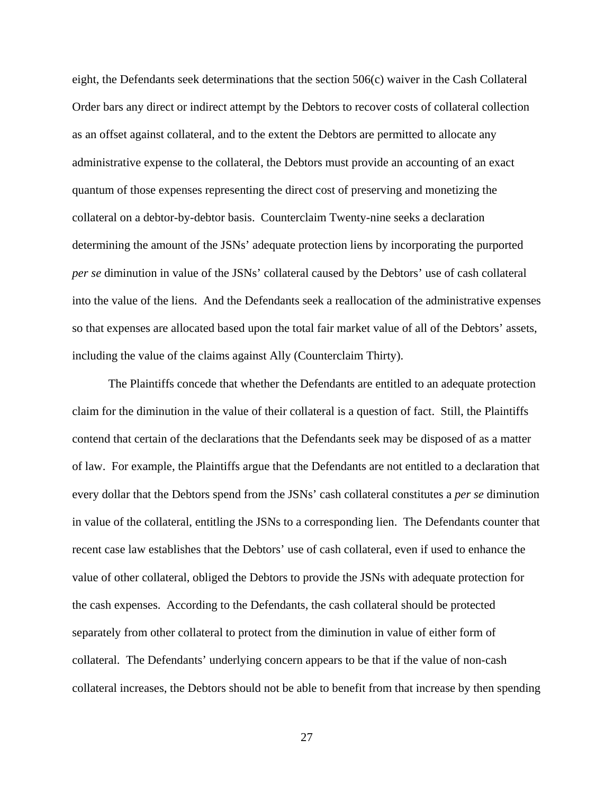eight, the Defendants seek determinations that the section 506(c) waiver in the Cash Collateral Order bars any direct or indirect attempt by the Debtors to recover costs of collateral collection as an offset against collateral, and to the extent the Debtors are permitted to allocate any administrative expense to the collateral, the Debtors must provide an accounting of an exact quantum of those expenses representing the direct cost of preserving and monetizing the collateral on a debtor-by-debtor basis. Counterclaim Twenty-nine seeks a declaration determining the amount of the JSNs' adequate protection liens by incorporating the purported *per se* diminution in value of the JSNs' collateral caused by the Debtors' use of cash collateral into the value of the liens. And the Defendants seek a reallocation of the administrative expenses so that expenses are allocated based upon the total fair market value of all of the Debtors' assets, including the value of the claims against Ally (Counterclaim Thirty).

The Plaintiffs concede that whether the Defendants are entitled to an adequate protection claim for the diminution in the value of their collateral is a question of fact. Still, the Plaintiffs contend that certain of the declarations that the Defendants seek may be disposed of as a matter of law. For example, the Plaintiffs argue that the Defendants are not entitled to a declaration that every dollar that the Debtors spend from the JSNs' cash collateral constitutes a *per se* diminution in value of the collateral, entitling the JSNs to a corresponding lien. The Defendants counter that recent case law establishes that the Debtors' use of cash collateral, even if used to enhance the value of other collateral, obliged the Debtors to provide the JSNs with adequate protection for the cash expenses. According to the Defendants, the cash collateral should be protected separately from other collateral to protect from the diminution in value of either form of collateral. The Defendants' underlying concern appears to be that if the value of non-cash collateral increases, the Debtors should not be able to benefit from that increase by then spending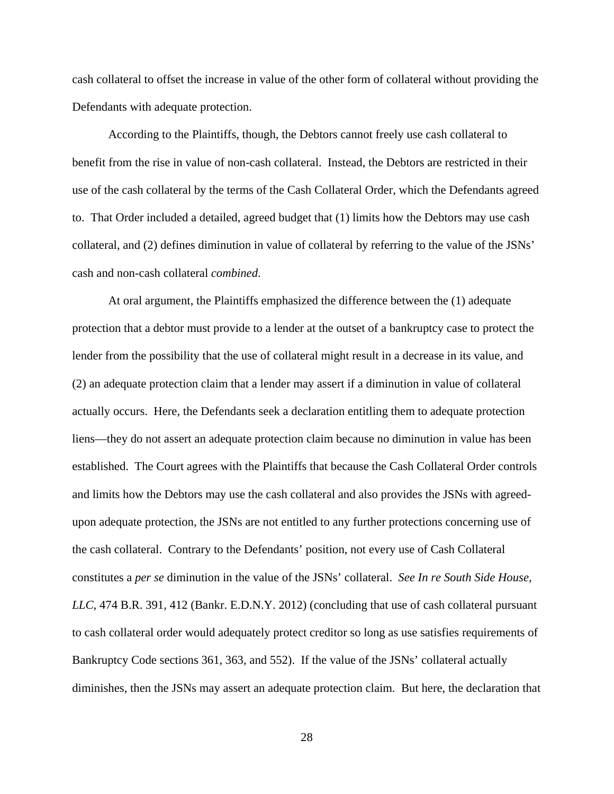cash collateral to offset the increase in value of the other form of collateral without providing the Defendants with adequate protection.

According to the Plaintiffs, though, the Debtors cannot freely use cash collateral to benefit from the rise in value of non-cash collateral. Instead, the Debtors are restricted in their use of the cash collateral by the terms of the Cash Collateral Order, which the Defendants agreed to. That Order included a detailed, agreed budget that (1) limits how the Debtors may use cash collateral, and (2) defines diminution in value of collateral by referring to the value of the JSNs' cash and non-cash collateral *combined*.

At oral argument, the Plaintiffs emphasized the difference between the (1) adequate protection that a debtor must provide to a lender at the outset of a bankruptcy case to protect the lender from the possibility that the use of collateral might result in a decrease in its value, and (2) an adequate protection claim that a lender may assert if a diminution in value of collateral actually occurs. Here, the Defendants seek a declaration entitling them to adequate protection liens—they do not assert an adequate protection claim because no diminution in value has been established. The Court agrees with the Plaintiffs that because the Cash Collateral Order controls and limits how the Debtors may use the cash collateral and also provides the JSNs with agreedupon adequate protection, the JSNs are not entitled to any further protections concerning use of the cash collateral. Contrary to the Defendants' position, not every use of Cash Collateral constitutes a *per se* diminution in the value of the JSNs' collateral. *See In re South Side House, LLC*, 474 B.R. 391, 412 (Bankr. E.D.N.Y. 2012) (concluding that use of cash collateral pursuant to cash collateral order would adequately protect creditor so long as use satisfies requirements of Bankruptcy Code sections 361, 363, and 552). If the value of the JSNs' collateral actually diminishes, then the JSNs may assert an adequate protection claim. But here, the declaration that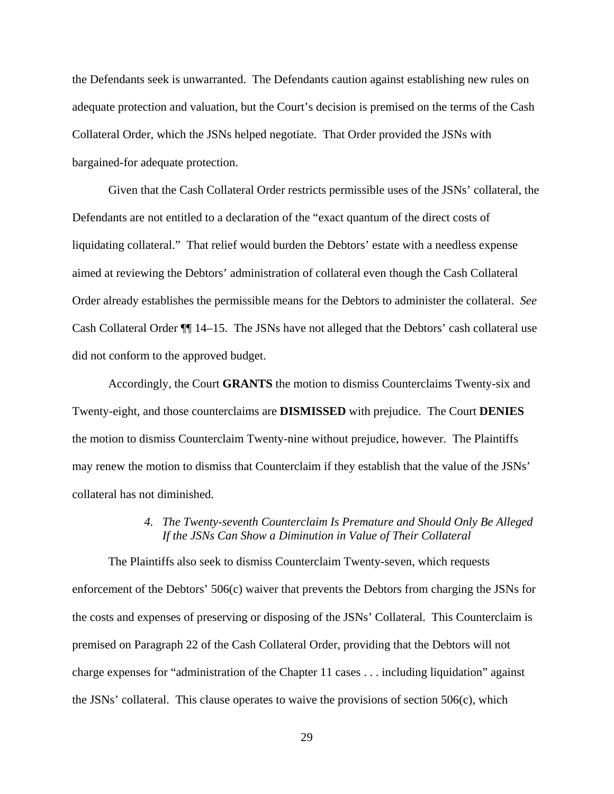the Defendants seek is unwarranted. The Defendants caution against establishing new rules on adequate protection and valuation, but the Court's decision is premised on the terms of the Cash Collateral Order, which the JSNs helped negotiate. That Order provided the JSNs with bargained-for adequate protection.

Given that the Cash Collateral Order restricts permissible uses of the JSNs' collateral, the Defendants are not entitled to a declaration of the "exact quantum of the direct costs of liquidating collateral." That relief would burden the Debtors' estate with a needless expense aimed at reviewing the Debtors' administration of collateral even though the Cash Collateral Order already establishes the permissible means for the Debtors to administer the collateral. *See*  Cash Collateral Order ¶¶ 14–15. The JSNs have not alleged that the Debtors' cash collateral use did not conform to the approved budget.

Accordingly, the Court **GRANTS** the motion to dismiss Counterclaims Twenty-six and Twenty-eight, and those counterclaims are **DISMISSED** with prejudice. The Court **DENIES**  the motion to dismiss Counterclaim Twenty-nine without prejudice, however. The Plaintiffs may renew the motion to dismiss that Counterclaim if they establish that the value of the JSNs' collateral has not diminished.

### *4. The Twenty-seventh Counterclaim Is Premature and Should Only Be Alleged If the JSNs Can Show a Diminution in Value of Their Collateral*

The Plaintiffs also seek to dismiss Counterclaim Twenty-seven, which requests enforcement of the Debtors' 506(c) waiver that prevents the Debtors from charging the JSNs for the costs and expenses of preserving or disposing of the JSNs' Collateral. This Counterclaim is premised on Paragraph 22 of the Cash Collateral Order, providing that the Debtors will not charge expenses for "administration of the Chapter 11 cases . . . including liquidation" against the JSNs' collateral. This clause operates to waive the provisions of section 506(c), which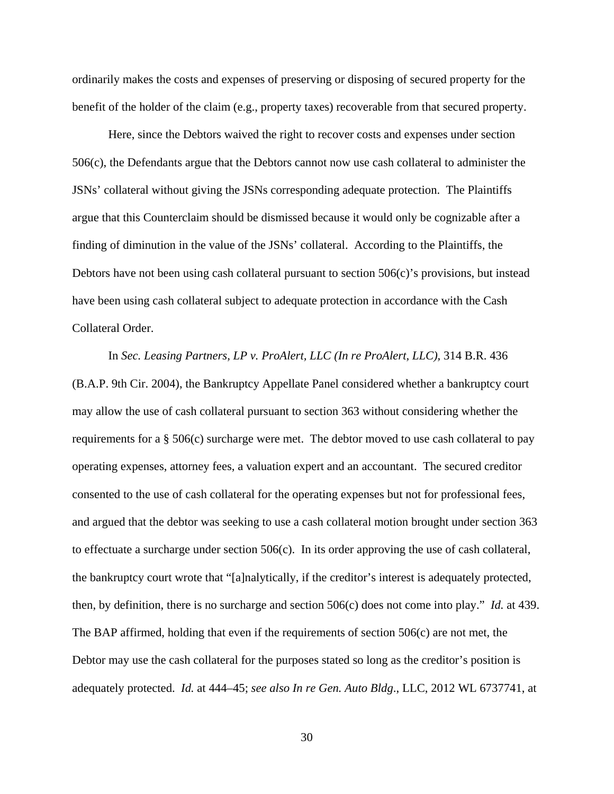ordinarily makes the costs and expenses of preserving or disposing of secured property for the benefit of the holder of the claim (e.g., property taxes) recoverable from that secured property.

Here, since the Debtors waived the right to recover costs and expenses under section 506(c), the Defendants argue that the Debtors cannot now use cash collateral to administer the JSNs' collateral without giving the JSNs corresponding adequate protection. The Plaintiffs argue that this Counterclaim should be dismissed because it would only be cognizable after a finding of diminution in the value of the JSNs' collateral. According to the Plaintiffs, the Debtors have not been using cash collateral pursuant to section  $506(c)$ 's provisions, but instead have been using cash collateral subject to adequate protection in accordance with the Cash Collateral Order.

In *Sec. Leasing Partners, LP v. ProAlert, LLC (In re ProAlert, LLC),* 314 B.R. 436 (B.A.P. 9th Cir. 2004), the Bankruptcy Appellate Panel considered whether a bankruptcy court may allow the use of cash collateral pursuant to section 363 without considering whether the requirements for a § 506(c) surcharge were met. The debtor moved to use cash collateral to pay operating expenses, attorney fees, a valuation expert and an accountant. The secured creditor consented to the use of cash collateral for the operating expenses but not for professional fees, and argued that the debtor was seeking to use a cash collateral motion brought under section 363 to effectuate a surcharge under section 506(c). In its order approving the use of cash collateral, the bankruptcy court wrote that "[a]nalytically, if the creditor's interest is adequately protected, then, by definition, there is no surcharge and section 506(c) does not come into play." *Id.* at 439. The BAP affirmed, holding that even if the requirements of section  $506(c)$  are not met, the Debtor may use the cash collateral for the purposes stated so long as the creditor's position is adequately protected. *Id.* at 444–45; *see also In re Gen. Auto Bldg*., LLC, 2012 WL 6737741, at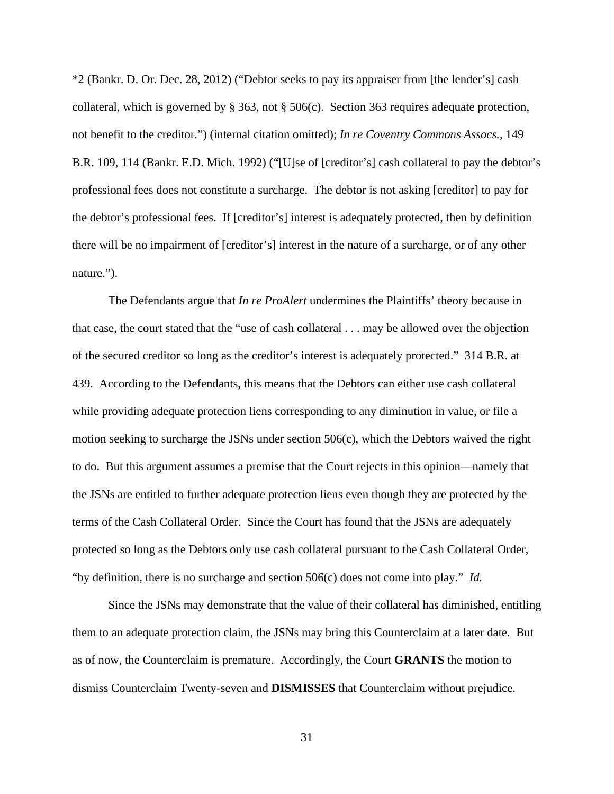\*2 (Bankr. D. Or. Dec. 28, 2012) ("Debtor seeks to pay its appraiser from [the lender's] cash collateral, which is governed by § 363, not § 506(c). Section 363 requires adequate protection, not benefit to the creditor.") (internal citation omitted); *In re Coventry Commons Assocs.,* 149 B.R. 109, 114 (Bankr. E.D. Mich. 1992) ("[U]se of [creditor's] cash collateral to pay the debtor's professional fees does not constitute a surcharge. The debtor is not asking [creditor] to pay for the debtor's professional fees. If [creditor's] interest is adequately protected, then by definition there will be no impairment of [creditor's] interest in the nature of a surcharge, or of any other nature.").

The Defendants argue that *In re ProAlert* undermines the Plaintiffs' theory because in that case, the court stated that the "use of cash collateral . . . may be allowed over the objection of the secured creditor so long as the creditor's interest is adequately protected." 314 B.R. at 439. According to the Defendants, this means that the Debtors can either use cash collateral while providing adequate protection liens corresponding to any diminution in value, or file a motion seeking to surcharge the JSNs under section 506(c), which the Debtors waived the right to do. But this argument assumes a premise that the Court rejects in this opinion—namely that the JSNs are entitled to further adequate protection liens even though they are protected by the terms of the Cash Collateral Order. Since the Court has found that the JSNs are adequately protected so long as the Debtors only use cash collateral pursuant to the Cash Collateral Order, "by definition, there is no surcharge and section 506(c) does not come into play." *Id.*

Since the JSNs may demonstrate that the value of their collateral has diminished, entitling them to an adequate protection claim, the JSNs may bring this Counterclaim at a later date. But as of now, the Counterclaim is premature. Accordingly, the Court **GRANTS** the motion to dismiss Counterclaim Twenty-seven and **DISMISSES** that Counterclaim without prejudice.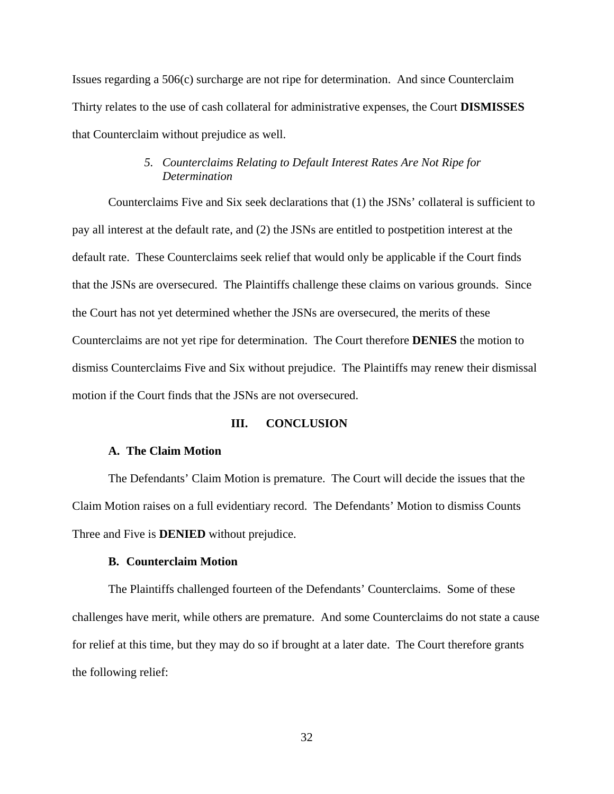Issues regarding a 506(c) surcharge are not ripe for determination. And since Counterclaim Thirty relates to the use of cash collateral for administrative expenses, the Court **DISMISSES** that Counterclaim without prejudice as well.

## *5. Counterclaims Relating to Default Interest Rates Are Not Ripe for Determination*

Counterclaims Five and Six seek declarations that (1) the JSNs' collateral is sufficient to pay all interest at the default rate, and (2) the JSNs are entitled to postpetition interest at the default rate. These Counterclaims seek relief that would only be applicable if the Court finds that the JSNs are oversecured. The Plaintiffs challenge these claims on various grounds. Since the Court has not yet determined whether the JSNs are oversecured, the merits of these Counterclaims are not yet ripe for determination. The Court therefore **DENIES** the motion to dismiss Counterclaims Five and Six without prejudice. The Plaintiffs may renew their dismissal motion if the Court finds that the JSNs are not oversecured.

#### **III. CONCLUSION**

#### **A. The Claim Motion**

The Defendants' Claim Motion is premature. The Court will decide the issues that the Claim Motion raises on a full evidentiary record. The Defendants' Motion to dismiss Counts Three and Five is **DENIED** without prejudice.

#### **B. Counterclaim Motion**

The Plaintiffs challenged fourteen of the Defendants' Counterclaims. Some of these challenges have merit, while others are premature. And some Counterclaims do not state a cause for relief at this time, but they may do so if brought at a later date. The Court therefore grants the following relief: